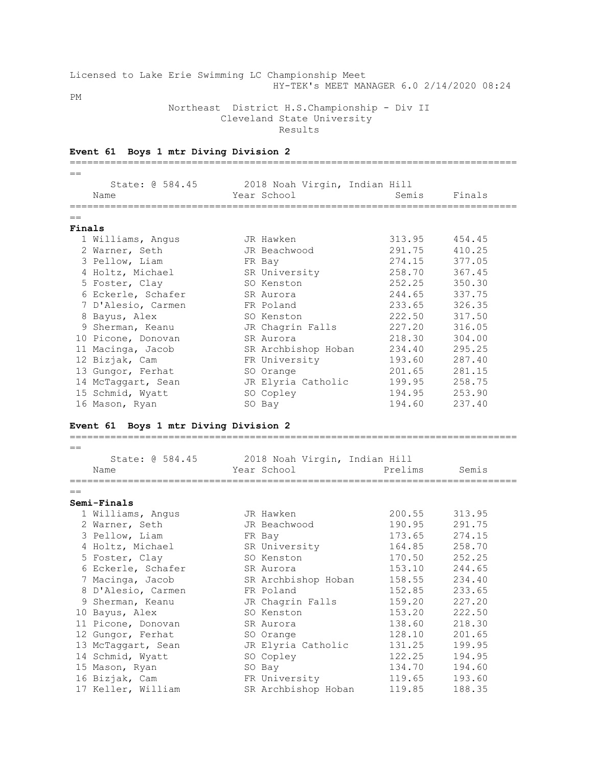|                            |  |  |  |  |  | Licensed to Lake Erie Swimming LC Championship Meet |  |                                           |  |
|----------------------------|--|--|--|--|--|-----------------------------------------------------|--|-------------------------------------------|--|
|                            |  |  |  |  |  |                                                     |  | HY-TEK's MEET MANAGER 6.0 2/14/2020 08:24 |  |
| PМ                         |  |  |  |  |  |                                                     |  |                                           |  |
|                            |  |  |  |  |  | Northeast District H.S.Championship - Div II        |  |                                           |  |
| Cleveland State University |  |  |  |  |  |                                                     |  |                                           |  |

Results

| Event 61 Boys 1 mtr Diving Division 2                                                |                                              |         |        |
|--------------------------------------------------------------------------------------|----------------------------------------------|---------|--------|
| _________________________________                                                    |                                              |         |        |
| State: @ 584.45                                                                      | 2018 Noah Virgin, Indian Hill                |         |        |
| Name                                                                                 | Year School                                  | Semis   | Finals |
| ===========                                                                          |                                              |         |        |
| Finals                                                                               |                                              |         |        |
| 1 Williams, Angus                                                                    | JR Hawken                                    | 313.95  | 454.45 |
| 2 Warner, Seth                                                                       | JR Beachwood                                 | 291.75  | 410.25 |
| 3 Pellow, Liam                                                                       |                                              | 274.15  | 377.05 |
|                                                                                      | FR Bay                                       | 258.70  | 367.45 |
| 4 Holtz, Michael                                                                     | SR University                                |         |        |
| 5 Foster, Clay                                                                       | SO Kenston                                   | 252.25  | 350.30 |
| 6 Eckerle, Schafer                                                                   | SR Aurora                                    | 244.65  | 337.75 |
| 7 D'Alesio, Carmen                                                                   | FR Poland                                    | 233.65  | 326.35 |
| 8 Bayus, Alex                                                                        | SO Kenston                                   | 222.50  | 317.50 |
| 9 Sherman, Keanu                                                                     | JR Chagrin Falls                             | 227.20  | 316.05 |
| 10 Picone, Donovan                                                                   | SR Aurora                                    | 218.30  | 304.00 |
| 11 Macinga, Jacob                                                                    | SR Archbishop Hoban                          | 234.40  | 295.25 |
| 12 Bizjak, Cam                                                                       | FR University                                | 193.60  | 287.40 |
| 13 Gungor, Ferhat                                                                    | SO Orange                                    | 201.65  | 281.15 |
| 14 McTaggart, Sean                                                                   | JR Elyria Catholic                           | 199.95  | 258.75 |
|                                                                                      |                                              |         | 253.90 |
| 15 Schmid, Wyatt                                                                     | SO Copley                                    | 194.95  |        |
| 16 Mason, Ryan                                                                       | SO Bay                                       | 194.60  | 237.40 |
|                                                                                      |                                              |         |        |
| State: 0 584.45<br>Name                                                              | 2018 Noah Virgin, Indian Hill<br>Year School | Prelims | Semis  |
|                                                                                      |                                              |         |        |
|                                                                                      |                                              |         |        |
|                                                                                      |                                              |         |        |
| 1 Williams, Angus                                                                    | JR Hawken                                    | 200.55  | 313.95 |
| 2 Warner, Seth                                                                       | JR Beachwood                                 | 190.95  | 291.75 |
| 3 Pellow, Liam                                                                       | FR Bay                                       | 173.65  | 274.15 |
| 4 Holtz, Michael                                                                     | SR University                                | 164.85  | 258.70 |
| 5 Foster, Clay                                                                       | SO Kenston                                   | 170.50  | 252.25 |
| 6 Eckerle, Schafer                                                                   | SR Aurora                                    | 153.10  | 244.65 |
| 7 Macinga, Jacob                                                                     | SR Archbishop Hoban                          | 158.55  | 234.40 |
| 8 D'Alesio, Carmen                                                                   | FR Poland                                    | 152.85  | 233.65 |
| 9 Sherman, Keanu                                                                     | JR Chagrin Falls                             | 159.20  | 227.20 |
| 10 Bayus, Alex                                                                       | SO Kenston                                   | 153.20  | 222.50 |
| 11 Picone, Donovan                                                                   | SR Aurora                                    | 138.60  | 218.30 |
| 12 Gungor, Ferhat                                                                    | SO Orange                                    | 128.10  | 201.65 |
| 13 McTaggart, Sean                                                                   | JR Elyria Catholic                           | 131.25  | 199.95 |
| 14 Schmid, Wyatt                                                                     | SO Copley                                    | 122.25  | 194.95 |
| 15 Mason, Ryan                                                                       | SO Bay                                       | 134.70  | 194.60 |
| Event 61 Boys 1 mtr Diving Division 2<br>$=$<br>$=$<br>Semi-Finals<br>16 Bizjak, Cam | FR University                                | 119.65  | 193.60 |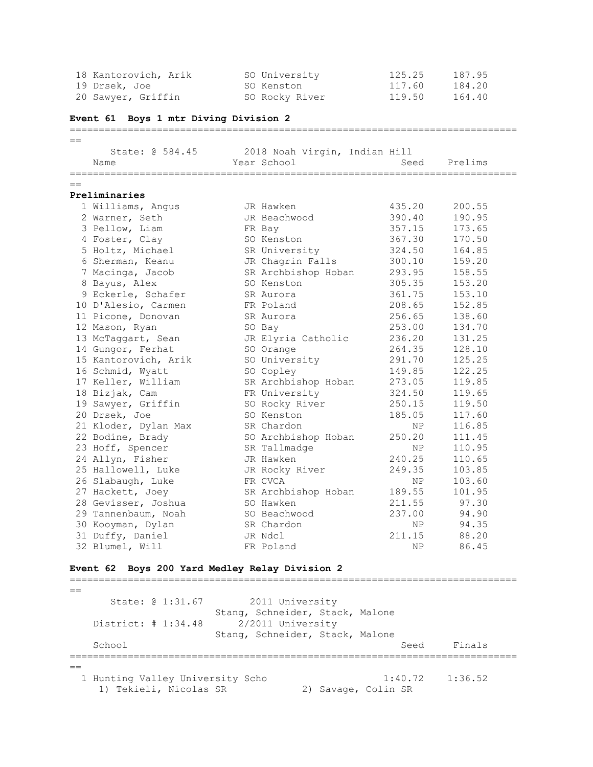|      | 18 Kantorovich, Arik                           | SO University                 | 125.25 | 187.95  |
|------|------------------------------------------------|-------------------------------|--------|---------|
|      | 19 Drsek, Joe                                  | SO Kenston                    | 117.60 | 184.20  |
|      | 20 Sawyer, Griffin                             | SO Rocky River                | 119.50 | 164.40  |
|      | Event 61 Boys 1 mtr Diving Division 2          |                               |        |         |
| $==$ |                                                |                               |        |         |
|      | State: @ 584.45                                | 2018 Noah Virgin, Indian Hill |        |         |
|      | Name                                           | Year School                   | Seed   | Prelims |
| $==$ |                                                |                               |        |         |
|      | Preliminaries                                  |                               |        |         |
|      | 1 Williams, Angus                              | JR Hawken                     | 435.20 | 200.55  |
|      | 2 Warner, Seth                                 | JR Beachwood                  | 390.40 | 190.95  |
|      | 3 Pellow, Liam                                 | FR Bay                        | 357.15 | 173.65  |
|      | 4 Foster, Clay                                 | SO Kenston                    | 367.30 | 170.50  |
|      | 5 Holtz, Michael                               | SR University                 | 324.50 | 164.85  |
|      | 6 Sherman, Keanu                               | JR Chagrin Falls              | 300.10 | 159.20  |
|      | 7 Macinga, Jacob                               | SR Archbishop Hoban           | 293.95 | 158.55  |
|      | 8 Bayus, Alex                                  | SO Kenston                    | 305.35 | 153.20  |
|      | 9 Eckerle, Schafer                             | SR Aurora                     | 361.75 | 153.10  |
|      | 10 D'Alesio, Carmen                            | FR Poland                     | 208.65 | 152.85  |
|      | 11 Picone, Donovan                             | SR Aurora                     | 256.65 | 138.60  |
|      | 12 Mason, Ryan                                 | SO Bay                        | 253.00 | 134.70  |
|      | 13 McTaggart, Sean                             | JR Elyria Catholic            | 236.20 | 131.25  |
|      | 14 Gungor, Ferhat                              | SO Orange                     | 264.35 | 128.10  |
|      | 15 Kantorovich, Arik                           | SO University                 | 291.70 | 125.25  |
|      | 16 Schmid, Wyatt                               | SO Copley                     | 149.85 | 122.25  |
|      | 17 Keller, William                             | SR Archbishop Hoban           | 273.05 | 119.85  |
|      | 18 Bizjak, Cam                                 | FR University                 | 324.50 | 119.65  |
|      | 19 Sawyer, Griffin                             | SO Rocky River                | 250.15 | 119.50  |
|      | 20 Drsek, Joe                                  | SO Kenston                    | 185.05 | 117.60  |
|      | 21 Kloder, Dylan Max                           | SR Chardon                    | ΝP     | 116.85  |
|      | 22 Bodine, Brady                               | SO Archbishop Hoban           | 250.20 | 111.45  |
|      | 23 Hoff, Spencer                               | SR Tallmadge                  | NP.    | 110.95  |
|      | 24 Allyn, Fisher                               | JR Hawken                     | 240.25 | 110.65  |
|      | 25 Hallowell, Luke                             | JR Rocky River                | 249.35 | 103.85  |
|      | 26 Slabaugh, Luke                              | FR CVCA                       | NP.    | 103.60  |
|      | 27 Hackett, Joey                               | SR Archbishop Hoban           | 189.55 | 101.95  |
|      | 28 Gevisser, Joshua                            | SO Hawken                     | 211.55 | 97.30   |
|      | 29 Tannenbaum, Noah                            | SO Beachwood                  | 237.00 | 94.90   |
|      | 30 Kooyman, Dylan                              | SR Chardon                    | NP     | 94.35   |
|      | 31 Duffy, Daniel                               | JR Ndcl                       | 211.15 | 88.20   |
|      | 32 Blumel, Will                                | FR Poland                     | NP.    | 86.45   |
|      |                                                |                               |        |         |
|      | Event 62 Boys 200 Yard Medley Relay Division 2 |                               |        |         |
|      |                                                |                               |        |         |
| $==$ |                                                |                               |        |         |

 State: @ 1:31.67 2011 University Stang, Schneider, Stack, Malone District: # 1:34.48 2/2011 University Stang, Schneider, Stack, Malone School School Seed Finals =============================================================================  $=$  1 Hunting Valley University Scho 1:40.72 1:36.52 1) Tekieli, Nicolas SR 2) Savage, Colin SR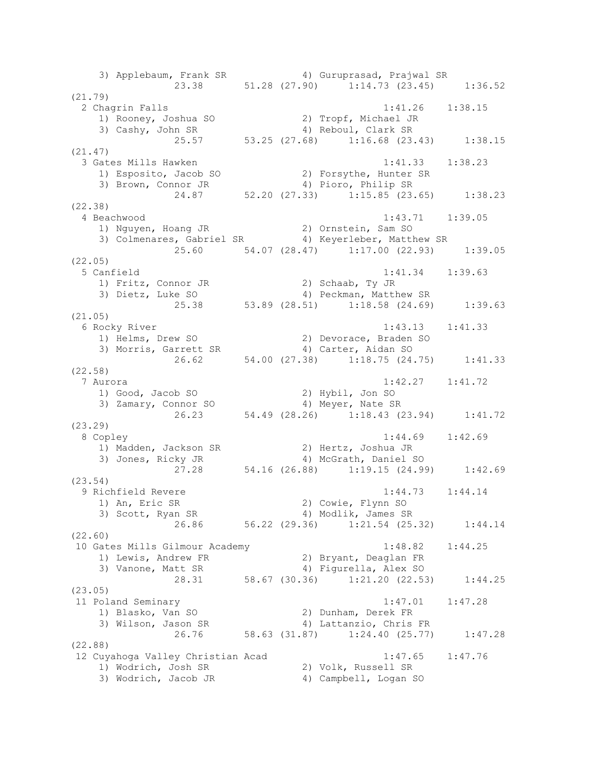3) Applebaum, Frank SR 4) Guruprasad, Prajwal SR 23.38 51.28 (27.90) 1:14.73 (23.45) 1:36.52 (21.79) 2 Chagrin Falls 1:41.26 1:38.15 1) Rooney, Joshua SO 2) Tropf, Michael JR 3) Cashy, John SR 4) Reboul, Clark SR 25.57 53.25 (27.68) 1:16.68 (23.43) 1:38.15 (21.47) 3 Gates Mills Hawken 1:41.33 1:38.23 1) Esposito, Jacob SO 2) Forsythe, Hunter SR 3) Brown, Connor JR 4) Pioro, Philip SR 24.87 52.20 (27.33) 1:15.85 (23.65) 1:38.23 (22.38) 4 Beachwood 1:43.71 1:39.05 1) Nguyen, Hoang JR 2) Ornstein, Sam SO 3) Colmenares, Gabriel SR 4) Keyerleber, Matthew SR 25.60 54.07 (28.47) 1:17.00 (22.93) 1:39.05 (22.05) 5 Canfield 1:41.34 1:39.63 1) Fritz, Connor JR 2) Schaab, Ty JR 3) Dietz, Luke SO 4) Peckman, Matthew SR 25.38 53.89 (28.51) 1:18.58 (24.69) 1:39.63 (21.05) 6 Rocky River 1:43.13 1:41.33 1) Helms, Drew SO 2) Devorace, Braden SO 3) Morris, Garrett SR 4) Carter, Aidan SO 26.62 54.00 (27.38) 1:18.75 (24.75) 1:41.33 (22.58) 7 Aurora 1:42.27 1:41.72 1) Good, Jacob SO 2) Hybil, Jon SO 3) Zamary, Connor SO 4) Meyer, Nate SR 26.23 54.49 (28.26) 1:18.43 (23.94) 1:41.72 (23.29) 8 Copley 1:44.69 1:42.69 1) Madden, Jackson SR 2) Hertz, Joshua JR 3) Jones, Ricky JR 4) McGrath, Daniel SO 27.28 54.16 (26.88) 1:19.15 (24.99) 1:42.69 (23.54) 9 Richfield Revere 1:44.73 1:44.14 1) An, Eric SR 2) Cowie, Flynn SO 3) Scott, Ryan SR 4) Modlik, James SR 26.86 56.22 (29.36) 1:21.54 (25.32) 1:44.14 (22.60) 10 Gates Mills Gilmour Academy 1:48.82 1:44.25 1) Lewis, Andrew FR 2) Bryant, Deaglan FR 3) Vanone, Matt SR 4) Figurella, Alex SO 28.31 58.67 (30.36) 1:21.20 (22.53) 1:44.25 (23.05) 11 Poland Seminary 1:47.01 1:47.28 1) Blasko, Van SO 2) Dunham, Derek FR 3) Wilson, Jason SR 4) Lattanzio, Chris FR 26.76 58.63 (31.87) 1:24.40 (25.77) 1:47.28 (22.88) 12 Cuyahoga Valley Christian Acad 1:47.65 1:47.76 1) Wodrich, Josh SR 2) Volk, Russell SR 3) Wodrich, Jacob JR 4) Campbell, Logan SO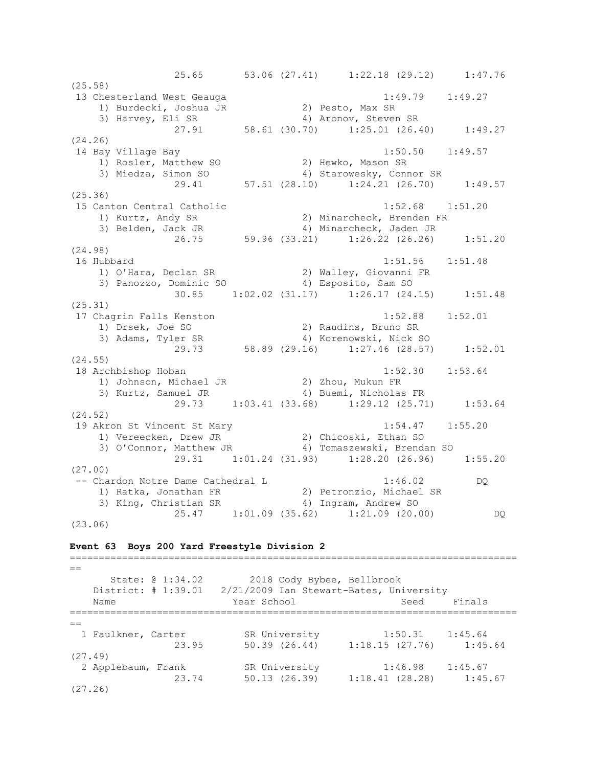25.65 53.06 (27.41) 1:22.18 (29.12) 1:47.76 (25.58) 13 Chesterland West Geauga 1:49.79 1:49.27 1) Burdecki, Joshua JR 2) Pesto, Max SR 3) Harvey, Eli SR 4) Aronov, Steven SR 3) Harvey, Eli SR (30.70) 4) Aronov, Steven SR (27.91 58.61 (30.70) 1:25.01 (26.40) 1:49.27 (24.26) 14 Bay Village Bay 1:50.50 1:49.57 1) Rosler, Matthew SO 2) Hewko, Mason SR 3) Miedza, Simon SO 4) Starowesky, Connor SR 29.41 57.51 (28.10) 1:24.21 (26.70) 1:49.57 (25.36) 15 Canton Central Catholic 1:52.68 1:51.20 1) Kurtz, Andy SR 2) Minarcheck, Brenden FR<br>3) Belden, Jack JR 3, 2, 4, Minarcheck, Jaden JR 3) Belden, Jack JR 4) Minarcheck, Jaden JR 26.75 59.96 (33.21) 1:26.22 (26.26) 1:51.20 (24.98) 16 Hubbard 1:51.56 1:51.48 1) O'Hara, Declan SR 2) Walley, Giovanni FR 3) Panozzo, Dominic SO 4) Esposito, Sam SO 30.85 1:02.02 (31.17) 1:26.17 (24.15) 1:51.48 (25.31) 17 Chagrin Falls Kenston 1:52.88 1:52.01 1) Drsek, Joe SO 2) Raudins, Bruno SR 3) Adams, Tyler SR 4) Korenowski, Nick SO 29.73 58.89 (29.16) 1:27.46 (28.57) 1:52.01 (24.55) 18 Archbishop Hoban 1:52.30 1:53.64 1) Johnson, Michael JR 2) Zhou, Mukun FR 3) Kurtz, Samuel JR 4) Buemi, Nicholas FR 29.73 1:03.41 (33.68) 1:29.12 (25.71) 1:53.64 (24.52) 19 Akron St Vincent St Mary 1:54.47 1:55.20 1) Vereecken, Drew JR 2) Chicoski, Ethan SO 3) O'Connor, Matthew JR 4) Tomaszewski, Brendan SO 29.31 1:01.24 (31.93) 1:28.20 (26.96) 1:55.20 (27.00) -- Chardon Notre Dame Cathedral L 1:46.02 DQ 1) Ratka, Jonathan FR 2) Petronzio, Michael SR 3) King, Christian SR 4) Ingram, Andrew SO 25.47 1:01.09 (35.62) 1:21.09 (20.00) DQ (23.06)

### **Event 63 Boys 200 Yard Freestyle Division 2**

 $=$ State: @ 1:34.02 2018 Cody Bybee, Bellbrook District: # 1:39.01 2/21/2009 Ian Stewart-Bates, University Name **Year School** Seed Finals =============================================================================  $-$  1 Faulkner, Carter SR University 1:50.31 1:45.64 23.95 50.39 (26.44) 1:18.15 (27.76) 1:45.64 (27.49) 2 Applebaum, Frank SR University 1:46.98 1:45.67 23.74 50.13 (26.39) 1:18.41 (28.28) 1:45.67 (27.26)

=============================================================================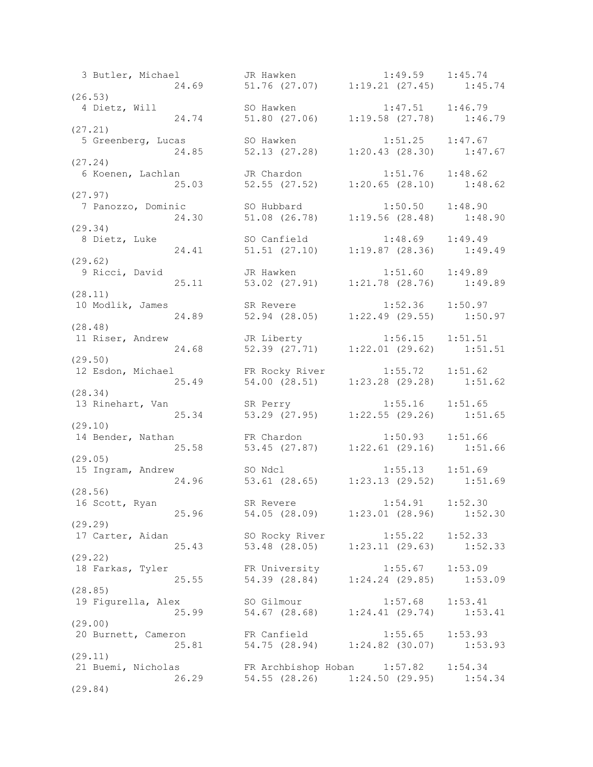3 Butler, Michael JR Hawken 1:49.59 1:45.74 24.69 51.76 (27.07) 1:19.21 (27.45) 1:45.74  $(26.53)$ <br>4 Dietz, Will 4 Dietz, Will SO Hawken 1:47.51 1:46.79 24.74 51.80 (27.06) 1:19.58 (27.78) 1:46.79 (27.21) 5 Greenberg, Lucas SO Hawken 1:51.25 1:47.67 24.85 52.13 (27.28) 1:20.43 (28.30) 1:47.67 (27.24) 6 Koenen, Lachlan JR Chardon 1:51.76 1:48.62 25.03 52.55 (27.52) 1:20.65 (28.10) 1:48.62 (27.97) 7 Panozzo, Dominic SO Hubbard 1:50.50 1:48.90 24.30 51.08 (26.78) 1:19.56 (28.48) 1:48.90  $(29.34)$ <br>8 Dietz, Luke 8 Dietz, Luke SO Canfield 1:48.69 1:49.49 24.41 51.51 (27.10) 1:19.87 (28.36) 1:49.49 (29.62) 9 Ricci, David JR Hawken 1:51.60 1:49.89 25.11 53.02 (27.91) 1:21.78 (28.76) 1:49.89 (28.11) 10 Modlik, James SR Revere 1:52.36 1:50.97 24.89 52.94 (28.05) 1:22.49 (29.55) 1:50.97 (28.48) 11 Riser, Andrew JR Liberty 1:56.15 1:51.51 24.68 52.39 (27.71) 1:22.01 (29.62) 1:51.51 (29.50) 12 Esdon, Michael FR Rocky River 1:55.72 1:51.62 25.49 54.00 (28.51) 1:23.28 (29.28) 1:51.62 (28.34) 13 Rinehart, Van SR Perry 1:55.16 1:51.65 25.34 53.29 (27.95) 1:22.55 (29.26) 1:51.65 (29.10) 14 Bender, Nathan FR Chardon 1:50.93 1:51.66 25.58 53.45 (27.87) 1:22.61 (29.16) 1:51.66 (29.05)<br>15 Ingram, Andrew 15 Ingram, Andrew SO Ndcl 1:55.13 1:51.69 24.96 53.61 (28.65) 1:23.13 (29.52) 1:51.69 (28.56) 16 Scott, Ryan SR Revere 1:54.91 1:52.30 25.96 54.05 (28.09) 1:23.01 (28.96) 1:52.30 (29.29) 17 Carter, Aidan SO Rocky River 1:55.22 1:52.33 25.43 53.48 (28.05) 1:23.11 (29.63) 1:52.33 (29.22) 18 Farkas, Tyler FR University 1:55.67 1:53.09 25.55 54.39 (28.84) 1:24.24 (29.85) 1:53.09 (28.85) 19 Figurella, Alex SO Gilmour 1:57.68 1:53.41 25.99 54.67 (28.68) 1:24.41 (29.74) 1:53.41 (29.00) 20 Burnett, Cameron FR Canfield 1:55.65 1:53.93 25.81 54.75 (28.94) 1:24.82 (30.07) 1:53.93 (29.11) 21 Buemi, Nicholas FR Archbishop Hoban 1:57.82 1:54.34 26.29 54.55 (28.26) 1:24.50 (29.95) 1:54.34 (29.84)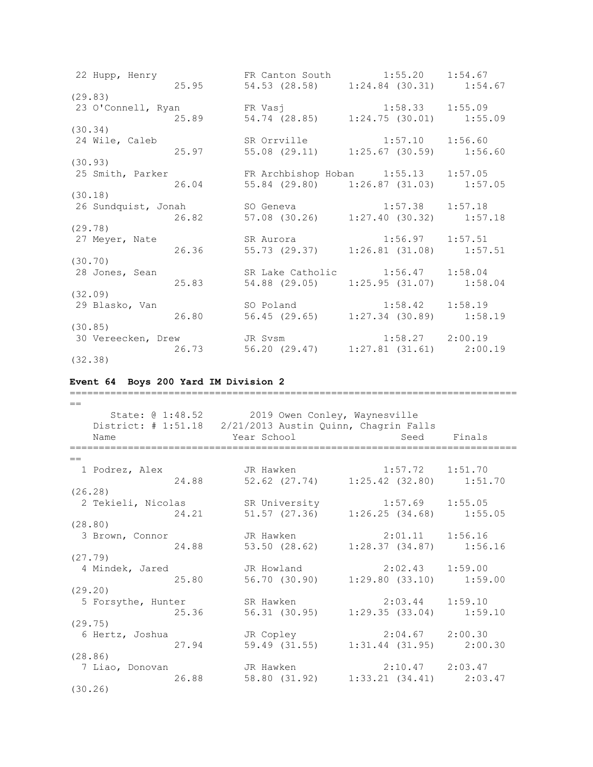22 Hupp, Henry FR Canton South 1:55.20 1:54.67 25.95 54.53 (28.58) 1:24.84 (30.31) 1:54.67 (29.83) 23 O'Connell, Ryan FR Vasj 1:58.33 1:55.09 25.89 54.74 (28.85) 1:24.75 (30.01) 1:55.09 (30.34) 24 Wile, Caleb SR Orrville 1:57.10 1:56.60<br>25.97 55.08 (29.11) 1:25.67 (30.59) 1:56. 25.97 55.08 (29.11) 1:25.67 (30.59) 1:56.60 (30.93) 25 Smith, Parker FR Archbishop Hoban 1:55.13 1:57.05 26.04 55.84 (29.80) 1:26.87 (31.03) 1:57.05 (30.18) 26 Sundquist, Jonah SO Geneva 1:57.38 1:57.18 26.82 57.08 (30.26) 1:27.40 (30.32) 1:57.18 (29.78) 27 Meyer, Nate SR Aurora 1:56.97 1:57.51 26.36 55.73 (29.37) 1:26.81 (31.08) 1:57.51 (30.70) 28 Jones, Sean SR Lake Catholic 1:56.47 1:58.04 25.83 54.88 (29.05) 1:25.95 (31.07) 1:58.04 (32.09)<br>29 Blasko, Van 26.80 Bland 1:58.42 1:58.19<br>26.80 56.45 (29.65) 1:27.34 (30.89) 1:58. 26.80 56.45 (29.65) 1:27.34 (30.89) 1:58.19 (30.85) 30 Vereecken, Drew JR Svsm 1:58.27 2:00.19 26.73 56.20 (29.47) 1:27.81 (31.61) 2:00.19

(32.38)

### **Event 64 Boys 200 Yard IM Division 2**

=============================================================================  $-$ State: @ 1:48.52 2019 Owen Conley, Waynesville District: # 1:51.18 2/21/2013 Austin Quinn, Chagrin Falls Name Year School Seed Finals =============================================================================  $-$  1 Podrez, Alex JR Hawken 1:57.72 1:51.70 24.88 52.62 (27.74) 1:25.42 (32.80) 1:51.70 (26.28) 2 Tekieli, Nicolas SR University 1:57.69 1:55.05 24.21 51.57 (27.36) 1:26.25 (34.68) 1:55.05 (28.80) 3 Brown, Connor JR Hawken 2:01.11 1:56.16 24.88 53.50 (28.62) 1:28.37 (34.87) 1:56.16 (27.79) 4 Mindek, Jared JR Howland 2:02.43 1:59.00 25.80 56.70 (30.90) 1:29.80 (33.10) 1:59.00 (29.20) 5 Forsythe, Hunter SR Hawken 2:03.44 1:59.10<br>25.36 56.31 (30.95) 1:29.35 (33.04) 1:59 25.36 56.31 (30.95) 1:29.35 (33.04) 1:59.10 (29.75) 6 Hertz, Joshua JR Copley 2:04.67 2:00.30 27.94 59.49 (31.55) 1:31.44 (31.95) 2:00.30 (28.86) 7 Liao, Donovan JR Hawken 2:10.47 2:03.47 26.88 58.80 (31.92) 1:33.21 (34.41) 2:03.47 (30.26)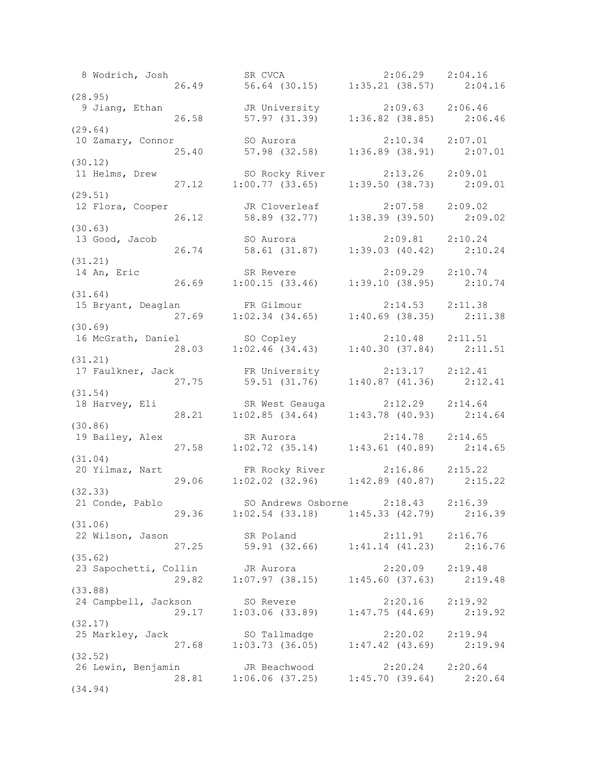8 Wodrich, Josh SR CVCA 2:06.29 2:04.16 26.49 56.64 (30.15) 1:35.21 (38.57) 2:04.16  $(28.95)$ <br>9 Jiang, Ethan 9 Jiang, Ethan JR University 2:09.63 2:06.46 26.58 57.97 (31.39) 1:36.82 (38.85) 2:06.46 (29.64) 10 Zamary, Connor SO Aurora 2:10.34 2:07.01 25.40 57.98 (32.58) 1:36.89 (38.91) 2:07.01 (30.12)<br>11 Helms, Drew 11 Helms, Drew SO Rocky River 2:13.26 2:09.01 27.12 1:00.77 (33.65) 1:39.50 (38.73) 2:09.01 (29.51) 12 Flora, Cooper JR Cloverleaf 2:07.58 2:09.02 26.12 58.89 (32.77) 1:38.39 (39.50) 2:09.02 (30.63)<br>13 Good, Jacob 13 Good, Jacob SO Aurora 2:09.81 2:10.24 26.74 58.61 (31.87) 1:39.03 (40.42) 2:10.24 (31.21) 14 An, Eric SR Revere 2:09.29 2:10.74 26.69 1:00.15 (33.46) 1:39.10 (38.95) 2:10.74 (31.64) 15 Bryant, Deaglan FR Gilmour 2:14.53 2:11.38 27.69 1:02.34 (34.65) 1:40.69 (38.35) 2:11.38 (30.69) 16 McGrath, Daniel SO Copley 2:10.48 2:11.51 28.03 1:02.46 (34.43) 1:40.30 (37.84) 2:11.51 (31.21) 17 Faulkner, Jack FR University 2:13.17 2:12.41 27.75 59.51 (31.76) 1:40.87 (41.36) 2:12.41 (31.54) 18 Harvey, Eli SR West Geauga 2:12.29 2:14.64 28.21 1:02.85 (34.64) 1:43.78 (40.93) 2:14.64 (30.86) 19 Bailey, Alex SR Aurora 2:14.78 2:14.65 27.58 1:02.72 (35.14) 1:43.61 (40.89) 2:14.65 (31.04)<br>20 Yilmaz, Nart 20 Yilmaz, Nart FR Rocky River 2:16.86 2:15.22 29.06 1:02.02 (32.96) 1:42.89 (40.87) 2:15.22 (32.33) 21 Conde, Pablo SO Andrews Osborne 2:18.43 2:16.39 29.36 1:02.54 (33.18) 1:45.33 (42.79) 2:16.39 (31.06) 22 Wilson, Jason SR Poland 2:11.91 2:16.76 27.25 59.91 (32.66) 1:41.14 (41.23) 2:16.76 (35.62) 23 Sapochetti, Collin JR Aurora 2:20.09 2:19.48 29.82 1:07.97 (38.15) 1:45.60 (37.63) 2:19.48 (33.88) 24 Campbell, Jackson SO Revere 2:20.16 2:19.92 29.17 1:03.06 (33.89) 1:47.75 (44.69) 2:19.92 (32.17) 25 Markley, Jack SO Tallmadge 2:20.02 2:19.94 27.68 1:03.73 (36.05) 1:47.42 (43.69) 2:19.94 (32.52) 26 Lewin, Benjamin JR Beachwood 2:20.24 2:20.64 28.81 1:06.06 (37.25) 1:45.70 (39.64) 2:20.64 (34.94)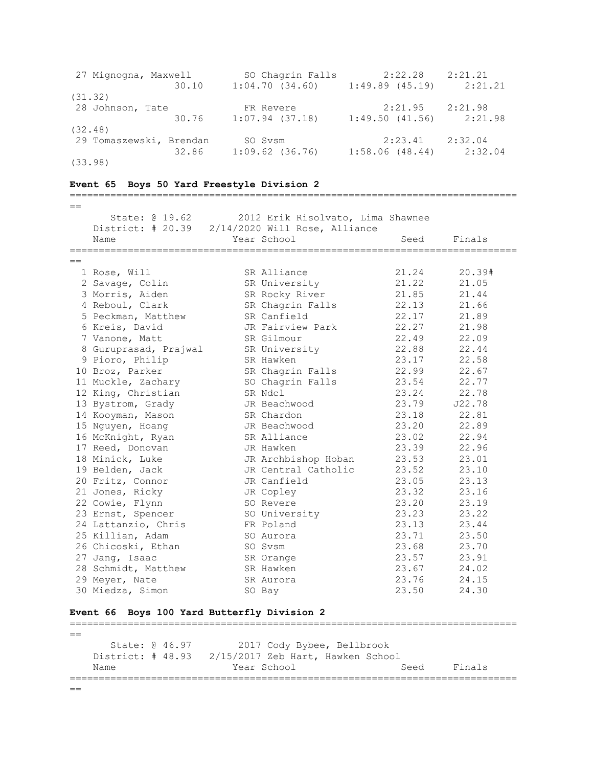| 27 Mignogna, Maxwell    | SO Chagrin Falls           | 2:22.28        | 2:21.21 |
|-------------------------|----------------------------|----------------|---------|
|                         | 1:04.70(34.60)<br>30.10    | 1:49.89(45.19) | 2:21.21 |
| (31, 32)                |                            |                |         |
| 28 Johnson, Tate        | FR Revere                  | 2:21.95        | 2:21.98 |
|                         | $1:07.94$ (37.18)<br>30.76 | 1:49.50(41.56) | 2:21.98 |
| (32.48)                 |                            |                |         |
| 29 Tomaszewski, Brendan | SO Sysm                    | 2:23.41        | 2:32.04 |
|                         | $1:09.62$ (36.76)<br>32.86 | 1:58.06(48.44) | 2:32.04 |
| (33.98)                 |                            |                |         |

#### **Event 65 Boys 50 Yard Freestyle Division 2**

=============================================================================  $=$  State: @ 19.62 2012 Erik Risolvato, Lima Shawnee District: # 20.39 2/14/2020 Will Rose, Alliance Name Year School Seed Finals ============================================================================= == 1 Rose, Will SR Alliance 21.24 20.39# 2 Savage, Colin SR University 21.22 21.05 3 Morris, Aiden SR Rocky River 21.85 21.44 4 Reboul, Clark SR Chagrin Falls 22.13 21.66 5 Peckman, Matthew SR Canfield 22.17 21.89 6 Kreis, David JR Fairview Park 22.27 21.98 7 Vanone, Matt SR Gilmour 22.49 22.09 8 Guruprasad, Prajwal SR University 22.88 22.44 9 Pioro, Philip SR Hawken 23.17 22.58 10 Broz, Parker SR Chagrin Falls 22.99 22.67 11 Muckle, Zachary SO Chagrin Falls 23.54 22.77 12 King, Christian SR Ndcl 23.24 22.78 13 Bystrom, Grady JR Beachwood 23.79 J22.78 14 Kooyman, Mason SR Chardon 23.18 22.81 15 Nguyen, Hoang JR Beachwood 23.20 22.89 16 McKnight, Ryan SR Alliance 23.02 22.94 17 Reed, Donovan JR Hawken 23.39 22.96 18 Minick, Luke JR Archbishop Hoban 23.53 23.01 19 Belden, Jack JR Central Catholic 23.52 23.10 20 Fritz, Connor JR Canfield 23.05 23.13 21 Jones, Ricky JR Copley 23.32 23.16 22 Cowie, Flynn SO Revere 23.20 23.19 23 Ernst, Spencer SO University 23.23 23.22 24 Lattanzio, Chris FR Poland 23.13 23.44 25 Killian, Adam SO Aurora 23.71 23.50 26 Chicoski, Ethan SO Svsm 23.68 23.70 27 Jang, Isaac SR Orange 23.57 23.91 28 Schmidt, Matthew SR Hawken 23.67 24.02 29 Meyer, Nate SR Aurora 23.76 24.15 30 Miedza, Simon SO Bay 23.50 24.30

## **Event 66 Boys 100 Yard Butterfly Division 2**

=============================================================================  $=$  State: @ 46.97 2017 Cody Bybee, Bellbrook District: # 48.93 2/15/2017 Zeb Hart, Hawken School Name The Year School Seed Finals =============================================================================  $=$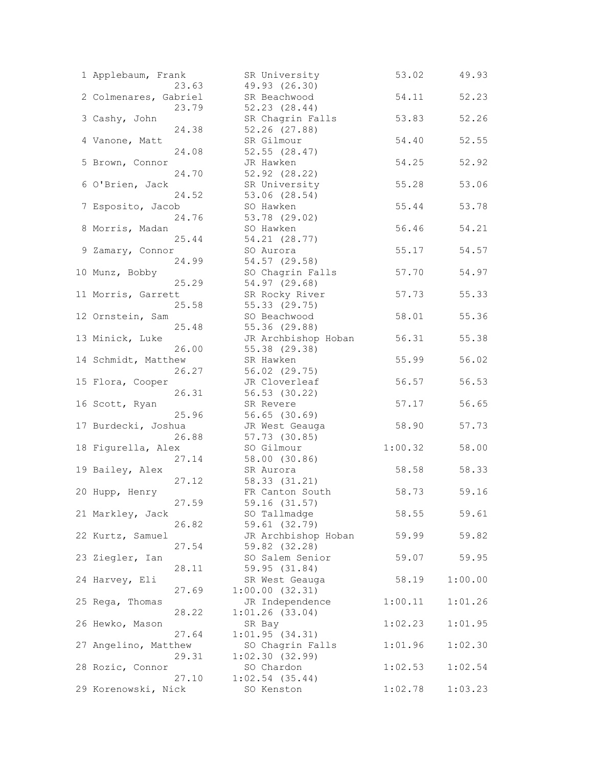| 1 Applebaum, Frank<br>23.63   | SR University<br>49.93 (26.30)       | 53.02   | 49.93   |
|-------------------------------|--------------------------------------|---------|---------|
| 2 Colmenares, Gabriel         | SR Beachwood                         | 54.11   | 52.23   |
| 23.79<br>3 Cashy, John        | 52.23 (28.44)<br>SR Chagrin Falls    | 53.83   | 52.26   |
| 24.38<br>4 Vanone, Matt       | 52.26 (27.88)<br>SR Gilmour          | 54.40   | 52.55   |
| 24.08<br>5 Brown, Connor      | 52.55 (28.47)<br>JR Hawken           | 54.25   | 52.92   |
| 24.70<br>6 O'Brien, Jack      | 52.92 (28.22)<br>SR University       | 55.28   | 53.06   |
| 24.52                         | 53.06 (28.54)                        |         |         |
| 7 Esposito, Jacob<br>24.76    | SO Hawken<br>53.78 (29.02)           | 55.44   | 53.78   |
| 8 Morris, Madan<br>25.44      | SO Hawken<br>54.21 (28.77)           | 56.46   | 54.21   |
| 9 Zamary, Connor<br>24.99     | SO Aurora<br>54.57 (29.58)           | 55.17   | 54.57   |
| 10 Munz, Bobby<br>25.29       | SO Chagrin Falls<br>54.97 (29.68)    | 57.70   | 54.97   |
| 11 Morris, Garrett            | SR Rocky River                       | 57.73   | 55.33   |
| 25.58<br>12 Ornstein, Sam     | 55.33 (29.75)<br>SO Beachwood        | 58.01   | 55.36   |
| 25.48<br>13 Minick, Luke      | 55.36 (29.88)<br>JR Archbishop Hoban | 56.31   | 55.38   |
| 26.00<br>14 Schmidt, Matthew  | 55.38 (29.38)<br>SR Hawken           | 55.99   | 56.02   |
| 26.27<br>15 Flora, Cooper     | 56.02 (29.75)<br>JR Cloverleaf       | 56.57   | 56.53   |
| 26.31                         | 56.53 (30.22)                        |         |         |
| 16 Scott, Ryan<br>25.96       | SR Revere<br>$56.65$ $(30.69)$       | 57.17   | 56.65   |
| 17 Burdecki, Joshua<br>26.88  | JR West Geauga<br>57.73 (30.85)      | 58.90   | 57.73   |
| 18 Figurella, Alex<br>27.14   | SO Gilmour<br>58.00 (30.86)          | 1:00.32 | 58.00   |
| 19 Bailey, Alex<br>27.12      | SR Aurora<br>58.33 (31.21)           | 58.58   | 58.33   |
| 20 Hupp, Henry                | FR Canton South                      | 58.73   | 59.16   |
| 27.59<br>21 Markley, Jack     | 59.16 (31.57)<br>SO Tallmadge        | 58.55   | 59.61   |
| 26.82<br>22 Kurtz, Samuel     | 59.61 (32.79)<br>JR Archbishop Hoban | 59.99   | 59.82   |
| 27.54<br>23 Ziegler, Ian      | 59.82 (32.28)<br>SO Salem Senior     | 59.07   | 59.95   |
| 28.11<br>24 Harvey, Eli       | 59.95 (31.84)<br>SR West Geauga      | 58.19   | 1:00.00 |
| 27.69<br>25 Rega, Thomas      | 1:00.00(32.31)<br>JR Independence    | 1:00.11 | 1:01.26 |
| 28.22                         | 1:01.26(33.04)                       |         |         |
| 26 Hewko, Mason<br>27.64      | SR Bay<br>1:01.95(34.31)             | 1:02.23 | 1:01.95 |
| 27 Angelino, Matthew<br>29.31 | SO Chagrin Falls<br>1:02.30(32.99)   | 1:01.96 | 1:02.30 |
| 28 Rozic, Connor<br>27.10     | SO Chardon<br>$1:02.54$ (35.44)      | 1:02.53 | 1:02.54 |
| 29 Korenowski, Nick           | SO Kenston                           | 1:02.78 | 1:03.23 |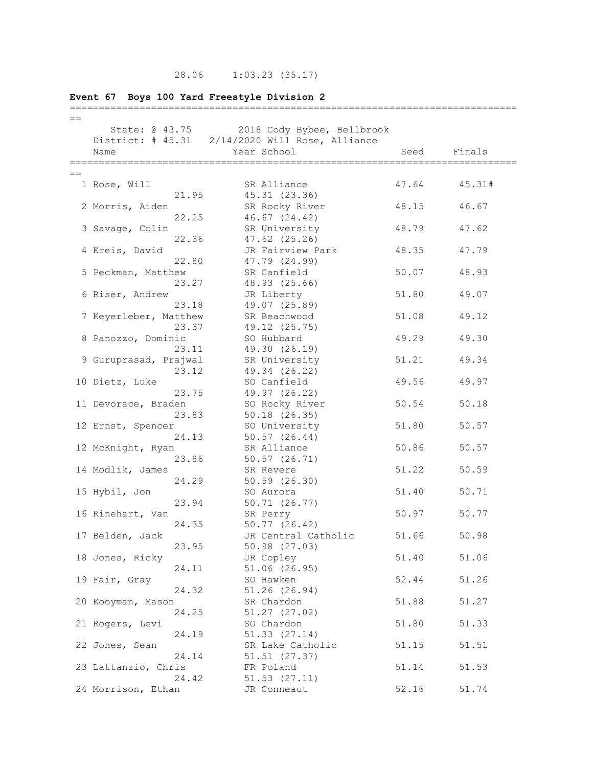# 28.06 1:03.23 (35.17)

# **Event 67 Boys 100 Yard Freestyle Division 2**

| $=$ $=$ |                         |                                                 |       |        |
|---------|-------------------------|-------------------------------------------------|-------|--------|
|         | State: @ 43.75          | 2018 Cody Bybee, Bellbrook                      |       |        |
|         |                         | District: # 45.31 2/14/2020 Will Rose, Alliance |       |        |
|         | Name                    | Year School                                     | Seed  | Finals |
|         |                         |                                                 |       |        |
| $==$    |                         |                                                 |       |        |
|         | 1 Rose, Will            | SR Alliance                                     | 47.64 | 45.31# |
|         | 21.95                   | 45.31 (23.36)                                   |       |        |
|         | 2 Morris, Aiden         | SR Rocky River                                  | 48.15 | 46.67  |
|         | 22.25                   | $46.67$ $(24.42)$                               |       |        |
|         | 3 Savage, Colin         | SR University                                   | 48.79 | 47.62  |
|         | 22.36                   | 47.62 (25.26)                                   |       |        |
|         | 4 Kreis, David          | JR Fairview Park                                | 48.35 | 47.79  |
|         | 22.80                   | 47.79 (24.99)                                   |       |        |
|         | 5 Peckman, Matthew      | SR Canfield                                     | 50.07 | 48.93  |
|         | 23.27                   | 48.93 (25.66)                                   |       |        |
|         | 6 Riser, Andrew         | JR Liberty                                      | 51.80 | 49.07  |
|         | 23.18                   | 49.07 (25.89)                                   |       |        |
|         | 7 Keyerleber, Matthew   | SR Beachwood                                    | 51.08 | 49.12  |
|         | 23.37                   | 49.12 (25.75)                                   |       |        |
|         | 8 Panozzo, Dominic      | SO Hubbard                                      | 49.29 | 49.30  |
|         | 23.11                   | 49.30 (26.19)                                   |       |        |
|         | 9 Guruprasad, Prajwal   | SR University                                   | 51.21 | 49.34  |
|         | 23.12                   | 49.34 (26.22)                                   |       |        |
|         | 10 Dietz, Luke          | SO Canfield                                     | 49.56 | 49.97  |
|         | 23.75                   | 49.97 (26.22)                                   |       |        |
|         | 11 Devorace, Braden     | SO Rocky River                                  | 50.54 | 50.18  |
|         | 23.83                   | $50.18$ $(26.35)$                               |       |        |
|         | 12 Ernst, Spencer       | SO University                                   | 51.80 | 50.57  |
|         | 24.13                   | 50.57(26.44)                                    |       |        |
|         | 12 McKnight, Ryan       | SR Alliance                                     | 50.86 | 50.57  |
|         | 23.86                   | $50.57$ $(26.71)$                               |       |        |
|         | 14 Modlik, James        | SR Revere                                       | 51.22 | 50.59  |
|         | 24.29                   | 50.59 (26.30)                                   |       |        |
|         | 15 Hybil, Jon           | SO Aurora                                       | 51.40 | 50.71  |
|         | 23.94                   | 50.71 (26.77)                                   |       |        |
|         | 16 Rinehart, Van        | SR Perry                                        | 50.97 | 50.77  |
|         | 24.35                   | 50.77(26.42)                                    |       |        |
|         | 17 Belden, Jack         | JR Central Catholic                             | 51.66 | 50.98  |
|         | 23.95                   | 50.98 (27.03)                                   |       |        |
|         | 18 Jones, Ricky         | JR Copley                                       | 51.40 | 51.06  |
|         | 24.11                   | 51.06 (26.95)                                   |       |        |
|         | 19 Fair, Gray           | SO Hawken                                       | 52.44 | 51.26  |
|         | 24.32                   | $51.26$ $(26.94)$                               |       |        |
|         | 20 Kooyman, Mason       | SR Chardon                                      | 51.88 | 51.27  |
|         | 24.25                   | $51.27$ $(27.02)$                               |       |        |
|         | 21 Rogers, Levi         | SO Chardon                                      | 51.80 | 51.33  |
|         | 24.19<br>22 Jones, Sean | 51.33 (27.14)                                   | 51.15 |        |
|         | 24.14                   | SR Lake Catholic<br>51.51 (27.37)               |       | 51.51  |
|         | 23 Lattanzio, Chris     | FR Poland                                       | 51.14 | 51.53  |
|         | 24.42                   | $51.53$ $(27.11)$                               |       |        |
|         | 24 Morrison, Ethan      | JR Conneaut                                     | 52.16 | 51.74  |
|         |                         |                                                 |       |        |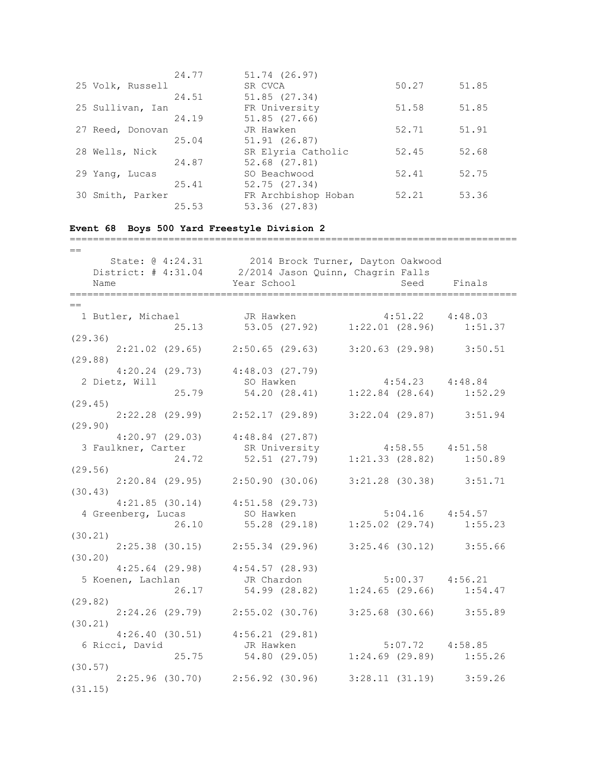|                  | 24.77 | 51.74 (26.97)       |       |       |
|------------------|-------|---------------------|-------|-------|
| 25 Volk, Russell |       | SR CVCA             | 50.27 | 51.85 |
|                  | 24.51 | 51.85(27.34)        |       |       |
| 25 Sullivan, Ian |       | FR University       | 51.58 | 51.85 |
|                  | 24.19 | 51.85(27.66)        |       |       |
| 27 Reed, Donovan |       | JR Hawken           | 52.71 | 51.91 |
|                  | 25.04 | 51.91 (26.87)       |       |       |
| 28 Wells, Nick   |       | SR Elyria Catholic  | 52.45 | 52.68 |
|                  | 24.87 | 52.68 (27.81)       |       |       |
| 29 Yang, Lucas   |       | SO Beachwood        | 52.41 | 52.75 |
|                  | 25.41 | 52.75(27.34)        |       |       |
| 30 Smith, Parker |       | FR Archbishop Hoban | 52.21 | 53.36 |
|                  | 25.53 | 53.36 (27.83)       |       |       |

=============================================================================

# **Event 68 Boys 500 Yard Freestyle Division 2**

| $=$                                                                                        |                                                            |                     |             |
|--------------------------------------------------------------------------------------------|------------------------------------------------------------|---------------------|-------------|
| State: @ 4:24.31 2014 Brock Turner, Dayton Oakwood                                         |                                                            |                     |             |
| District: # 4:31.04 2/2014 Jason Quinn, Chagrin Falls                                      |                                                            |                     |             |
| Name                                                                                       | Year School                                                |                     | Seed Finals |
|                                                                                            |                                                            |                     |             |
| $=$ $=$                                                                                    |                                                            |                     |             |
| 1 Butler, Michael JR Hawken 4:51.22 4:48.03<br>25.13 53.05 (27.92) 1:22.01 (28.96) 1:51.37 |                                                            |                     |             |
|                                                                                            |                                                            |                     |             |
| (29.36)                                                                                    |                                                            |                     |             |
| $2:21.02$ (29.65) $2:50.65$ (29.63) $3:20.63$ (29.98) $3:50.51$                            |                                                            |                     |             |
| (29.88)                                                                                    |                                                            |                     |             |
| $4:20.24$ (29.73) $4:48.03$ (27.79)                                                        |                                                            |                     |             |
| 2 Dietz, Will                                                                              |                                                            |                     |             |
|                                                                                            | SO Hawken<br>25.79 54.20 (28.41) 1:22.84 (28.64) 1:52.29   |                     |             |
| (29.45)                                                                                    |                                                            |                     |             |
| $2:22.28$ (29.99) $2:52.17$ (29.89) $3:22.04$ (29.87) $3:51.94$                            |                                                            |                     |             |
| (29.90)                                                                                    |                                                            |                     |             |
| $4:20.97$ (29.03) $4:48.84$ (27.87)                                                        |                                                            |                     |             |
| 3 Faulkner, Carter SR University 4:58.55 4:51.58                                           |                                                            |                     |             |
|                                                                                            | 24.72 52.51 (27.79) 1:21.33 (28.82) 1:50.89                |                     |             |
| (29.56)                                                                                    |                                                            |                     |             |
| 2:20.84 (29.95) 2:50.90 (30.06) 3:21.28 (30.38) 3:51.71                                    |                                                            |                     |             |
| (30.43)                                                                                    |                                                            |                     |             |
| $4:21.85$ (30.14) $4:51.58$ (29.73)                                                        |                                                            |                     |             |
| 4 Greenberg, Lucas 50 Hawken 5:04.16 4:54.57                                               |                                                            |                     |             |
|                                                                                            | 26.10 55.28 (29.18) 1:25.02 (29.74) 1:55.23                |                     |             |
| (30.21)                                                                                    |                                                            |                     |             |
| 2:25.38 (30.15) 2:55.34 (29.96) 3:25.46 (30.12) 3:55.66                                    |                                                            |                     |             |
| (30.20)                                                                                    |                                                            |                     |             |
| $4:25.64$ (29.98) $4:54.57$ (28.93)                                                        |                                                            |                     |             |
| 5 Koenen, Lachlan Marchardon                                                               |                                                            | $5:00.37$ $4:56.21$ |             |
|                                                                                            | 26.17 54.99 (28.82) 1:24.65 (29.66) 1:54.47                |                     |             |
| (29.82)                                                                                    |                                                            |                     |             |
|                                                                                            | 2:24.26 (29.79)  2:55.02 (30.76)  3:25.68 (30.66)  3:55.89 |                     |             |
| (30.21)                                                                                    |                                                            |                     |             |
| $4:26.40$ (30.51) $4:56.21$ (29.81)                                                        |                                                            |                     |             |
| 6 Ricci, David                                                                             | JR Hawken 5:07.72 4:58.85                                  |                     |             |
|                                                                                            | 25.75 54.80 (29.05) 1:24.69 (29.89) 1:55.26                |                     |             |
| (30.57)                                                                                    |                                                            |                     |             |
| $2:25.96(30.70)$ $2:56.92(30.96)$ $3:28.11(31.19)$ $3:59.26$                               |                                                            |                     |             |
| (31.15)                                                                                    |                                                            |                     |             |
|                                                                                            |                                                            |                     |             |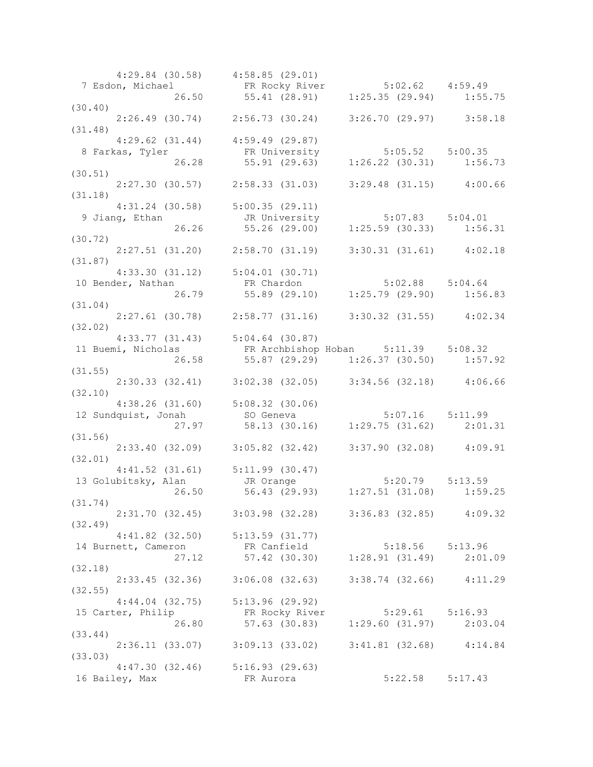|         |                     | $4:29.84$ (30.58) $4:58.85$ (29.01)                                                                                                                                                                                                                               |                     |  |
|---------|---------------------|-------------------------------------------------------------------------------------------------------------------------------------------------------------------------------------------------------------------------------------------------------------------|---------------------|--|
|         |                     | 7 Esdon, Michael FR Rocky River 5:02.62 4:59.49<br>26.50 55.41 (28.91) 1:25.35 (29.94) 1:55.75                                                                                                                                                                    |                     |  |
|         |                     |                                                                                                                                                                                                                                                                   |                     |  |
| (30.40) |                     |                                                                                                                                                                                                                                                                   |                     |  |
|         |                     | $2:26.49$ (30.74) $2:56.73$ (30.24) $3:26.70$ (29.97) $3:58.18$                                                                                                                                                                                                   |                     |  |
| (31.48) |                     |                                                                                                                                                                                                                                                                   |                     |  |
|         |                     | $4:29.62$ (31.44) $4:59.49$ (29.87)                                                                                                                                                                                                                               |                     |  |
|         |                     |                                                                                                                                                                                                                                                                   |                     |  |
|         |                     |                                                                                                                                                                                                                                                                   |                     |  |
|         |                     |                                                                                                                                                                                                                                                                   |                     |  |
| (30.51) |                     |                                                                                                                                                                                                                                                                   |                     |  |
|         |                     | 2:27.30 (30.57) 2:58.33 (31.03) 3:29.48 (31.15) 4:00.66                                                                                                                                                                                                           |                     |  |
| (31.18) |                     |                                                                                                                                                                                                                                                                   |                     |  |
|         |                     | $4:31.24$ (30.58) $5:00.35$ (29.11)                                                                                                                                                                                                                               |                     |  |
|         | 9 Jiang, Ethan      | 24 (30.36) 5:00.33 (29.11)<br>than JR University 5:07.83 5:04.01<br>26.26 55.26 (29.00) 1:25.59 (30.33) 1:56.31                                                                                                                                                   |                     |  |
|         |                     |                                                                                                                                                                                                                                                                   |                     |  |
| (30.72) |                     |                                                                                                                                                                                                                                                                   |                     |  |
|         |                     |                                                                                                                                                                                                                                                                   |                     |  |
|         |                     | $2:27.51$ (31.20) $2:58.70$ (31.19) $3:30.31$ (31.61) $4:02.18$                                                                                                                                                                                                   |                     |  |
| (31.87) |                     |                                                                                                                                                                                                                                                                   |                     |  |
|         |                     | $4:33.30$ $(31.12)$ $5:04.01$ $(30.71)$                                                                                                                                                                                                                           |                     |  |
|         |                     | 4:33.30 (31.12) 3:04.01 (30.71)<br>10 Bender, Nathan FR Chardon 5:02.88 5:04.64<br>26.79 55.89 (29.10) 1:25.79 (29.90) 1:56.83                                                                                                                                    |                     |  |
|         |                     |                                                                                                                                                                                                                                                                   |                     |  |
| (31.04) |                     |                                                                                                                                                                                                                                                                   |                     |  |
|         |                     | $2:27.61$ (30.78) $2:58.77$ (31.16) $3:30.32$ (31.55) $4:02.34$                                                                                                                                                                                                   |                     |  |
| (32.02) |                     |                                                                                                                                                                                                                                                                   |                     |  |
|         |                     | $4:33.77$ $(31.43)$ $5:04.64$ $(30.87)$                                                                                                                                                                                                                           |                     |  |
|         |                     |                                                                                                                                                                                                                                                                   |                     |  |
|         |                     | 11 Buemi, Nicholas FR Archbishop Hoban 5:11.39 5:08.32                                                                                                                                                                                                            |                     |  |
|         | 26.58               | 55.87 (29.29) 1:26.37 (30.50) 1:57.92                                                                                                                                                                                                                             |                     |  |
| (31.55) |                     |                                                                                                                                                                                                                                                                   |                     |  |
|         |                     | 2:30.33 (32.41) 3:02.38 (32.05) 3:34.56 (32.18) 4:06.66                                                                                                                                                                                                           |                     |  |
| (32.10) |                     |                                                                                                                                                                                                                                                                   |                     |  |
|         |                     | 4:38.26 (31.60) 5:08.32 (30.06)<br>dquist, Jonah 5:08.32 (30.06) 5:07.16 5:11.99<br>27.97 58.13 (30.16) 1:29.75 (31.62) 2:01.31                                                                                                                                   |                     |  |
|         |                     | 12 Sundquist, Jonah 50 Geneva                                                                                                                                                                                                                                     |                     |  |
|         |                     |                                                                                                                                                                                                                                                                   |                     |  |
| (31.56) |                     |                                                                                                                                                                                                                                                                   |                     |  |
|         |                     | 2:33.40 (32.09) 3:05.82 (32.42) 3:37.90 (32.08) 4:09.91                                                                                                                                                                                                           |                     |  |
| (32.01) |                     |                                                                                                                                                                                                                                                                   |                     |  |
|         |                     |                                                                                                                                                                                                                                                                   |                     |  |
|         |                     | 4:41.52 (31.61) 5:11.99 (30.47)<br>abitsky, Alan JR Orange 5:20.79 5:13.59<br>26.50 56.43 (29.93) 1:27.51 (31.08) 1:59.25                                                                                                                                         |                     |  |
|         | 13 Golubitsky, Alan |                                                                                                                                                                                                                                                                   |                     |  |
|         |                     |                                                                                                                                                                                                                                                                   |                     |  |
| (31.74) |                     |                                                                                                                                                                                                                                                                   |                     |  |
|         |                     | $2:31.70$ (32.45) $3:03.98$ (32.28) $3:36.83$ (32.85) $4:09.32$                                                                                                                                                                                                   |                     |  |
| (32.49) |                     |                                                                                                                                                                                                                                                                   |                     |  |
|         |                     | $4:41.82$ (32.50) $5:13.59$ (31.77)                                                                                                                                                                                                                               |                     |  |
|         |                     | version and the contract of the contract of the contract of the contract of the contract of the contract of the contract of the contract of the contract of the contract of the contract of the contract of the contract of th<br>14 Burnett, Cameron FR Canfield |                     |  |
|         |                     |                                                                                                                                                                                                                                                                   |                     |  |
|         |                     |                                                                                                                                                                                                                                                                   |                     |  |
| (32.18) |                     |                                                                                                                                                                                                                                                                   |                     |  |
|         |                     | 2:33.45 (32.36) 3:06.08 (32.63) 3:38.74 (32.66) 4:11.29                                                                                                                                                                                                           |                     |  |
| (32.55) |                     |                                                                                                                                                                                                                                                                   |                     |  |
|         |                     | $4:44.04$ (32.75) $5:13.96$ (29.92)                                                                                                                                                                                                                               |                     |  |
|         |                     |                                                                                                                                                                                                                                                                   |                     |  |
|         |                     | 15 Carter, Philip FR Rocky River 5:29.61 5:16.93<br>26.80 57.63 (30.83) 1:29.60 (31.97) 2:03.04                                                                                                                                                                   |                     |  |
| (33.44) |                     |                                                                                                                                                                                                                                                                   |                     |  |
|         |                     | $2:36.11$ (33.07) 3:09.13 (33.02) 3:41.81 (32.68) 4:14.84                                                                                                                                                                                                         |                     |  |
| (33.03) |                     |                                                                                                                                                                                                                                                                   |                     |  |
|         |                     | $4:47.30$ (32.46) $5:16.93$ (29.63)                                                                                                                                                                                                                               |                     |  |
|         |                     |                                                                                                                                                                                                                                                                   |                     |  |
|         | 16 Bailey, Max      | FR Aurora                                                                                                                                                                                                                                                         | $5:22.58$ $5:17.43$ |  |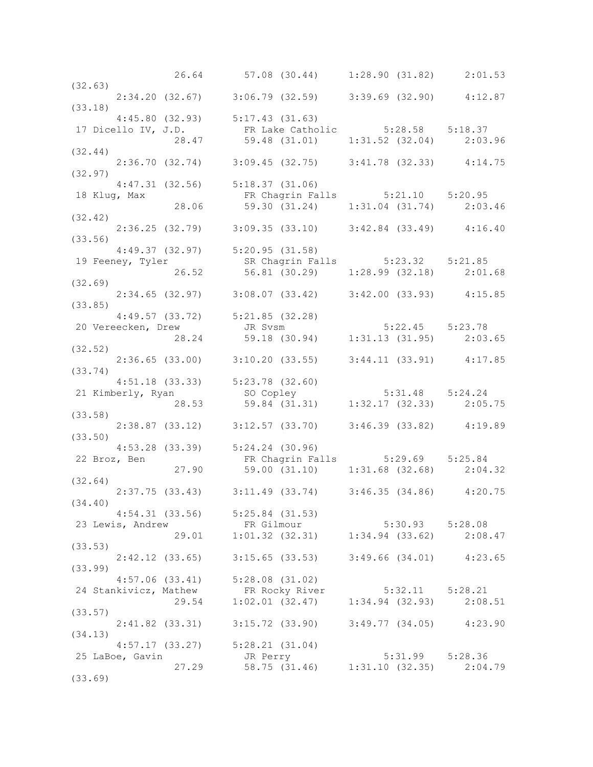|                                                                                                                               | 26.64 57.08 (30.44) 1:28.90 (31.82) 2:01.53                                     |                     |  |
|-------------------------------------------------------------------------------------------------------------------------------|---------------------------------------------------------------------------------|---------------------|--|
| (32.63)                                                                                                                       |                                                                                 |                     |  |
| $2:34.20$ (32.67) 3:06.79 (32.59) 3:39.69 (32.90) 4:12.87                                                                     |                                                                                 |                     |  |
| (33.18)                                                                                                                       |                                                                                 |                     |  |
| $4:45.80$ (32.93) $5:17.43$ (31.63)                                                                                           |                                                                                 |                     |  |
| 17 Dicello IV, J.D.<br>28.47 59.48 (31.01) 1:31.52 (32.04) 2:03.96<br>32.44)                                                  |                                                                                 |                     |  |
|                                                                                                                               |                                                                                 |                     |  |
| (32.44)                                                                                                                       |                                                                                 |                     |  |
| $2:36.70$ (32.74) $3:09.45$ (32.75) $3:41.78$ (32.33) $4:14.75$                                                               |                                                                                 |                     |  |
| (32.97)                                                                                                                       |                                                                                 |                     |  |
|                                                                                                                               |                                                                                 |                     |  |
| $4:47.31$ (32.56) $5:18.37$ (31.06)                                                                                           |                                                                                 |                     |  |
| 18 Klug, Max                                                                                                                  | FR Chagrin Falls 5:21.10 5:20.95                                                |                     |  |
|                                                                                                                               | 28.06 59.30 (31.24) 1:31.04 (31.74) 2:03.46                                     |                     |  |
| (32.42)                                                                                                                       |                                                                                 |                     |  |
|                                                                                                                               | 2:36.25 (32.79) 3:09.35 (33.10) 3:42.84 (33.49) 4:16.40                         |                     |  |
| (33.56)                                                                                                                       |                                                                                 |                     |  |
| $4:49.37$ (32.97) $5:20.95$ (31.58)                                                                                           |                                                                                 |                     |  |
|                                                                                                                               |                                                                                 |                     |  |
| 19 Feeney, Tyler 5.23.32 5:21.85<br>26.52 56.81 (30.29) 1:28.99 (32.18) 2:01.68                                               |                                                                                 |                     |  |
| (32.69)                                                                                                                       |                                                                                 |                     |  |
| $2:34.65$ (32.97) 3:08.07 (33.42) 3:42.00 (33.93) 4:15.85                                                                     |                                                                                 |                     |  |
| (33.85)                                                                                                                       |                                                                                 |                     |  |
|                                                                                                                               |                                                                                 |                     |  |
| $4:49.57$ (33.72) $5:21.85$ (32.28)                                                                                           |                                                                                 |                     |  |
|                                                                                                                               |                                                                                 |                     |  |
| 4:49.57 (33.72) 5:21.85 (32.28)<br>20 Vereecken, Drew JR Svsm 5:22.45 5:23.78<br>28.24 59.18 (30.94) 1:31.13 (31.95) 2:03.65  |                                                                                 |                     |  |
| (32.52)                                                                                                                       |                                                                                 |                     |  |
| $2:36.65$ (33.00) $3:10.20$ (33.55) $3:44.11$ (33.91) $4:17.85$                                                               |                                                                                 |                     |  |
| (33.74)                                                                                                                       |                                                                                 |                     |  |
|                                                                                                                               |                                                                                 |                     |  |
|                                                                                                                               |                                                                                 |                     |  |
| 4:51.18 (33.33) 5:23.78 (32.60)<br>21 Kimberly, Ryan so Copley 5:31.48 5:24.24<br>28.53 59.84 (31.31) 1:32.17 (32.33) 2:05.75 |                                                                                 |                     |  |
| (33.58)                                                                                                                       |                                                                                 |                     |  |
|                                                                                                                               | 2:38.87 (33.12) 3:12.57 (33.70) 3:46.39 (33.82) 4:19.89                         |                     |  |
| (33.50)                                                                                                                       |                                                                                 |                     |  |
|                                                                                                                               |                                                                                 |                     |  |
| $4:53.28$ (33.39) $5:24.24$ (30.96)                                                                                           |                                                                                 |                     |  |
| 22 Broz, Ben                                                                                                                  | FR Chagrin Falls 5:29.69 5:25.84<br>27.90 59.00 (31.10) 1:31.68 (32.68) 2:04.32 |                     |  |
|                                                                                                                               |                                                                                 |                     |  |
| (32.64)                                                                                                                       |                                                                                 |                     |  |
| $2:37.75$ (33.43) $3:11.49$ (33.74) $3:46.35$ (34.86) $4:20.75$                                                               |                                                                                 |                     |  |
| (34.40)                                                                                                                       |                                                                                 |                     |  |
| $4:54.31$ (33.56) $5:25.84$ (31.53)                                                                                           |                                                                                 |                     |  |
| 23 Lewis, Andrew                                                                                                              | FR Gilmour<br>FR Gilmour<br>29.01 1:01.32 (32.31) 1:34.94 (33.62) 2:08.47       |                     |  |
|                                                                                                                               |                                                                                 |                     |  |
| (33.53)                                                                                                                       |                                                                                 |                     |  |
|                                                                                                                               |                                                                                 |                     |  |
|                                                                                                                               | 2:42.12 (33.65) 3:15.65 (33.53) 3:49.66 (34.01) 4:23.65                         |                     |  |
| (33.99)                                                                                                                       |                                                                                 |                     |  |
| $4:57.06$ (33.41) $5:28.08$ (31.02)                                                                                           |                                                                                 |                     |  |
| 24 Stankivicz, Mathew FR Rocky River 5:32.11 5:28.21<br>29.54 1:02.01 (32.47) 1:34.94 (32.93) 2:08.51                         |                                                                                 |                     |  |
|                                                                                                                               |                                                                                 |                     |  |
| (33.57)                                                                                                                       |                                                                                 |                     |  |
|                                                                                                                               | 2:41.82 (33.31) 3:15.72 (33.90) 3:49.77 (34.05) 4:23.90                         |                     |  |
| (34.13)                                                                                                                       |                                                                                 |                     |  |
| $4:57.17$ (33.27) $5:28.21$ (31.04)                                                                                           |                                                                                 |                     |  |
| 25 LaBoe, Gavin                                                                                                               | JR Perry                                                                        | $5:31.99$ $5:28.36$ |  |
| 27.29                                                                                                                         | $58.75$ (31.46) $1:31.10$ (32.35) $2:04.79$                                     |                     |  |
| (33.69)                                                                                                                       |                                                                                 |                     |  |
|                                                                                                                               |                                                                                 |                     |  |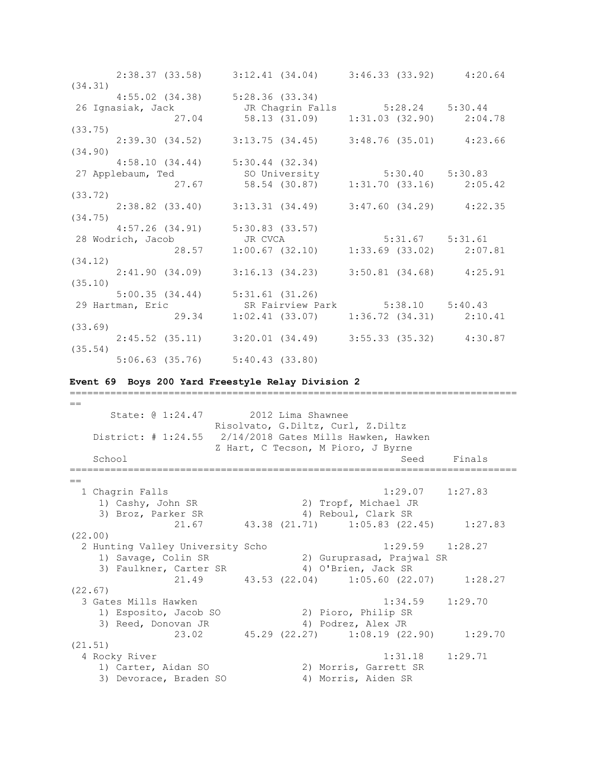|         |       | 2:38.37 (33.58) 3:12.41 (34.04) 3:46.33 (33.92) 4:20.64                                        |  |
|---------|-------|------------------------------------------------------------------------------------------------|--|
| (34.31) |       |                                                                                                |  |
|         |       | 4:55.02 (34.38) 5:28.36 (33.34)                                                                |  |
|         |       | 26 Ignasiak, Jack       JR Chagrin Falls       5:28.24   5:30.44                               |  |
|         |       | 27.04 58.13 (31.09) 1:31.03 (32.90) 2:04.78                                                    |  |
| (33.75) |       |                                                                                                |  |
|         |       | 2:39.30 (34.52) 3:13.75 (34.45) 3:48.76 (35.01) 4:23.66                                        |  |
| (34.90) |       |                                                                                                |  |
|         |       | $4:58.10(34.44)$ $5:30.44(32.34)$                                                              |  |
|         |       | 27 Applebaum, Ted 58.54 (30.87) 5:30.40 5:30.83<br>27.67 58.54 (30.87) 1:31.70 (33.16) 2:05.42 |  |
|         |       |                                                                                                |  |
| (33.72) |       |                                                                                                |  |
|         |       | $2:38.82$ (33.40) $3:13.31$ (34.49) $3:47.60$ (34.29) $4:22.35$                                |  |
| (34.75) |       |                                                                                                |  |
|         |       | $4:57.26$ (34.91) $5:30.83$ (33.57)                                                            |  |
|         |       | 28 Wodrich, Jacob<br>28.57 1:00.67 (32.10) 1:33.69 (33.02) 2:07.81                             |  |
|         |       |                                                                                                |  |
| (34.12) |       |                                                                                                |  |
|         |       | $2:41.90(34.09)$ $3:16.13(34.23)$ $3:50.81(34.68)$ $4:25.91$                                   |  |
| (35.10) |       |                                                                                                |  |
|         |       | $5:00.35$ (34.44) $5:31.61$ (31.26)                                                            |  |
|         |       | 29 Hartman, Eric SR Fairview Park 5:38.10 5:40.43                                              |  |
|         | 29.34 | $1:02.41$ (33.07) $1:36.72$ (34.31) $2:10.41$                                                  |  |
| (33.69) |       |                                                                                                |  |
|         |       | 2:45.52 (35.11) 3:20.01 (34.49) 3:55.33 (35.32) 4:30.87                                        |  |
| (35.54) |       |                                                                                                |  |
|         |       | $5:06.63$ (35.76) $5:40.43$ (33.80)                                                            |  |

### **Event 69 Boys 200 Yard Freestyle Relay Division 2**

=============================================================================  $=$  State: @ 1:24.47 2012 Lima Shawnee Risolvato, G.Diltz, Curl, Z.Diltz District: # 1:24.55 2/14/2018 Gates Mills Hawken, Hawken Z Hart, C Tecson, M Pioro, J Byrne School Seed Finals ============================================================================= == 1 Chagrin Falls 1:29.07 1:27.83 1) Cashy, John SR 2) Tropf, Michael JR 3) Broz, Parker SR 4) Reboul, Clark SR 21.67 43.38 (21.71) 1:05.83 (22.45) 1:27.83 (22.00) 2 Hunting Valley University Scho 1:29.59 1:28.27 1) Savage, Colin SR 2) Guruprasad, Prajwal SR 3) Faulkner, Carter SR 4) O'Brien, Jack SR 21.49 43.53 (22.04) 1:05.60 (22.07) 1:28.27 (22.67) 3 Gates Mills Hawken 1:34.59 1:29.70 1) Esposito, Jacob SO 2) Pioro, Philip SR 3) Reed, Donovan JR 4) Podrez, Alex JR 23.02 45.29 (22.27) 1:08.19 (22.90) 1:29.70 (21.51) 4 Rocky River 1:31.18 1:29.71 1) Carter, Aidan SO 2) Morris, Garrett SR 3) Devorace, Braden SO 4) Morris, Gallect N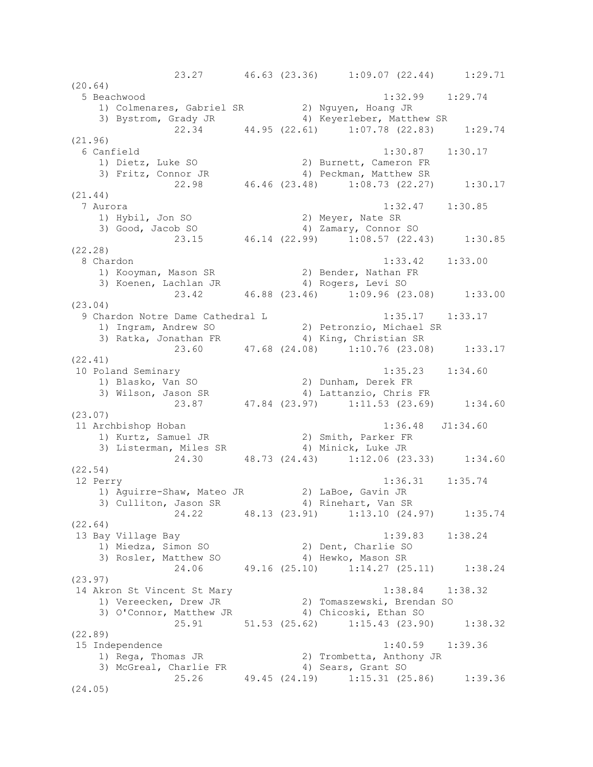23.27 46.63 (23.36) 1:09.07 (22.44) 1:29.71 (20.64) 5 Beachwood 1:32.99 1:29.74 1) Colmenares, Gabriel SR 2) Nguyen, Hoang JR<br>3) Bystrom. Grady JR 31, Hoang JR 41, Keverleber. Matthe 3) Bystrom, Grady JR (4) Keyerleber, Matthew SR 22.34 44.95 (22.61) 1:07.78 (22.83) 1:29.74 (21.96) 6 Canfield 1:30.87 1:30.17 1) Dietz, Luke SO 2) Burnett, Cameron FR 3) Fritz, Connor JR 4) Peckman, Matthew SR 22.98 46.46 (23.48) 1:08.73 (22.27) 1:30.17 (21.44) 7 Aurora 1:32.47 1:30.85 1) Hybil, Jon SO 2) Meyer, Nate SR 3) Good, Jacob SO 4) Zamary, Connor SO  $23.15$  46.14 (22.99) 1:08.57 (22.43) 1:30.85 (22.28) 8 Chardon 1:33.42 1:33.00 1) Kooyman, Mason SR 2) Bender, Nathan FR 3) Koenen, Lachlan JR (4) Rogers, Levi SO 23.42 46.88 (23.46) 1:09.96 (23.08) 1:33.00 (23.04) 9 Chardon Notre Dame Cathedral L 1:35.17 1:33.17 1) Ingram, Andrew SO 2) Petronzio, Michael SR 3) Ratka, Jonathan FR 4) King, Christian SR 23.60 47.68 (24.08) 1:10.76 (23.08) 1:33.17 (22.41) 10 Poland Seminary 1:35.23 1:34.60 1) Blasko, Van SO 2) Dunham, Derek FR 3) Wilson, Jason SR 4) Lattanzio, Chris FR 23.87 47.84 (23.97) 1:11.53 (23.69) 1:34.60 (23.07) 11 Archbishop Hoban 1:36.48 J1:34.60 1) Kurtz, Samuel JR 2) Smith, Parker FR 3) Listerman, Miles SR 4) Minick, Luke JR 24.30 48.73 (24.43) 1:12.06 (23.33) 1:34.60 (22.54) 12 Perry 1:36.31 1:35.74 1) Aguirre-Shaw, Mateo JR 32) LaBoe, Gavin JR 3) Culliton, Jason SR 4) Rinehart, Van SR 24.22 48.13 (23.91) 1:13.10 (24.97) 1:35.74 (22.64) 13 Bay Village Bay 1:39.83 1:38.24 1) Miedza, Simon SO 2) Dent, Charlie SO 3) Rosler, Matthew SO 4) Hewko, Mason SR 24.06 49.16 (25.10) 1:14.27 (25.11) 1:38.24 (23.97) 14 Akron St Vincent St Mary 1:38.84 1:38.32 1) Vereecken, Drew JR 2) Tomaszewski, Brendan SO 3) O'Connor, Matthew JR 4) Chicoski, Ethan SO 25.91 51.53 (25.62) 1:15.43 (23.90) 1:38.32 (22.89) 15 Independence 1:40.59 1:39.36 1) Rega, Thomas JR 2) Trombetta, Anthony JR 3) McGreal, Charlie FR 4) Sears, Grant SO 25.26 49.45 (24.19) 1:15.31 (25.86) 1:39.36 (24.05)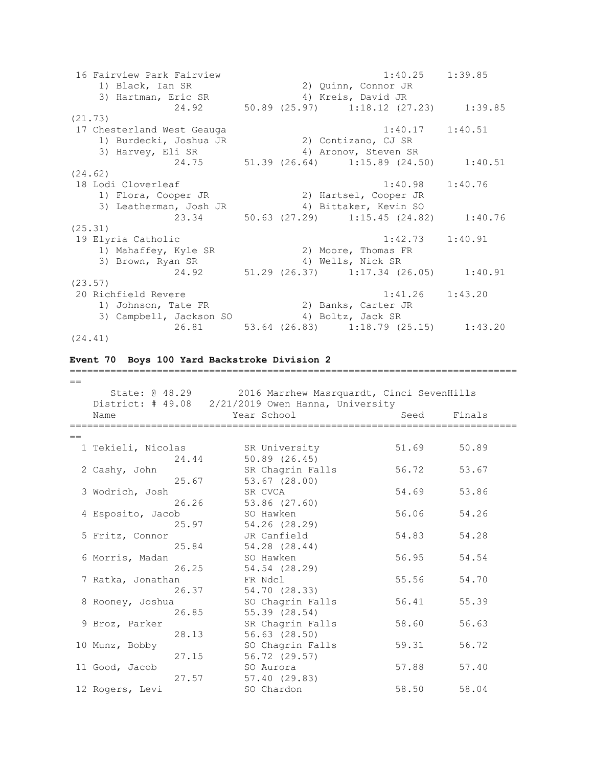16 Fairview Park Fairview 1:40.25 1:39.85 1) Black, Ian SR 2) Quinn, Connor JR 3) Hartman, Eric SR 4) Kreis, David JR 24.92 50.89 (25.97) 1:18.12 (27.23) 1:39.85 (21.73) 17 Chesterland West Geauga 1:40.17 1:40.51 1) Burdecki, Joshua JR 2) Contizano, CJ SR 3) Harvey, Eli SR 4) Aronov, Steven SR 24.75 51.39 (26.64) 1:15.89 (24.50) 1:40.51 (24.62) 18 Lodi Cloverleaf 1:40.98 1:40.76 1) Flora, Cooper JR 2) Hartsel, Cooper JR 3) Leatherman, Josh JR 4) Bittaker, Kevin SO 23.34 50.63 (27.29) 1:15.45 (24.82) 1:40.76 (25.31) 19 Elyria Catholic 1:42.73 1:40.91<br>1) Mahaffey, Kyle SR 2) Moore, Thomas FR 1) Mahaffey, Kyle SR<br>2) Mahaffey, Kyle SR 3) Brown, Ryan SR 4) Wells, Nick SR 24.92 51.29 (26.37) 1:17.34 (26.05) 1:40.91 (23.57) 20 Richfield Revere 1:41.26 1:43.20 1) Johnson, Tate FR 2) Banks, Carter JR 3) Campbell, Jackson SO 4) Boltz, Jack SR 26.81 53.64 (26.83) 1:18.79 (25.15) 1:43.20 (24.41)

### **Event 70 Boys 100 Yard Backstroke Division 2**

| $==$ |                        |                                                    |       |        |  |
|------|------------------------|----------------------------------------------------|-------|--------|--|
|      | State: @ 48.29         | 2016 Marrhew Masrquardt, Cinci SevenHills          |       |        |  |
|      |                        | District: # 49.08 2/21/2019 Owen Hanna, University |       |        |  |
|      | Name                   | Year School                                        | Seed  | Finals |  |
|      | ---------------------- |                                                    |       |        |  |
| $==$ |                        |                                                    |       |        |  |
|      | 1 Tekieli, Nicolas     | SR University                                      | 51.69 | 50.89  |  |
|      | 24.44                  | 50.89(26.45)                                       |       |        |  |
|      | 2 Cashy, John          | SR Chagrin Falls                                   | 56.72 | 53.67  |  |
|      | 25.67                  | 53.67 (28.00)                                      |       |        |  |
|      | 3 Wodrich, Josh        | SR CVCA                                            | 54.69 | 53.86  |  |
|      | 26.26                  | 53.86 (27.60)                                      |       |        |  |
|      | 4 Esposito, Jacob      | SO Hawken                                          | 56.06 | 54.26  |  |
|      | 25.97                  | 54.26 (28.29)                                      |       |        |  |
|      | 5 Fritz, Connor        | JR Canfield                                        | 54.83 | 54.28  |  |
|      | 25.84                  | 54.28 (28.44)                                      |       |        |  |
|      | 6 Morris, Madan        | SO Hawken                                          | 56.95 | 54.54  |  |
|      | 26.25                  | 54.54 (28.29)                                      |       |        |  |
|      | 7 Ratka, Jonathan      | FR Ndcl                                            | 55.56 | 54.70  |  |
|      | 26.37                  | 54.70 (28.33)                                      |       |        |  |
|      | 8 Rooney, Joshua       | SO Chagrin Falls                                   | 56.41 | 55.39  |  |
|      | 26.85                  | 55.39(28.54)                                       |       |        |  |
|      | 9 Broz, Parker         | SR Chagrin Falls                                   | 58.60 | 56.63  |  |
|      | 28.13                  | $56.63$ $(28.50)$                                  |       |        |  |
|      | 10 Munz, Bobby         | SO Chagrin Falls                                   | 59.31 | 56.72  |  |
|      | 27.15                  | 56.72 (29.57)                                      |       |        |  |
|      | 11 Good, Jacob         | SO Aurora                                          | 57.88 | 57.40  |  |
|      | 27.57                  | 57.40 (29.83)                                      |       |        |  |
|      | 12 Rogers, Levi        | SO Chardon                                         | 58.50 | 58.04  |  |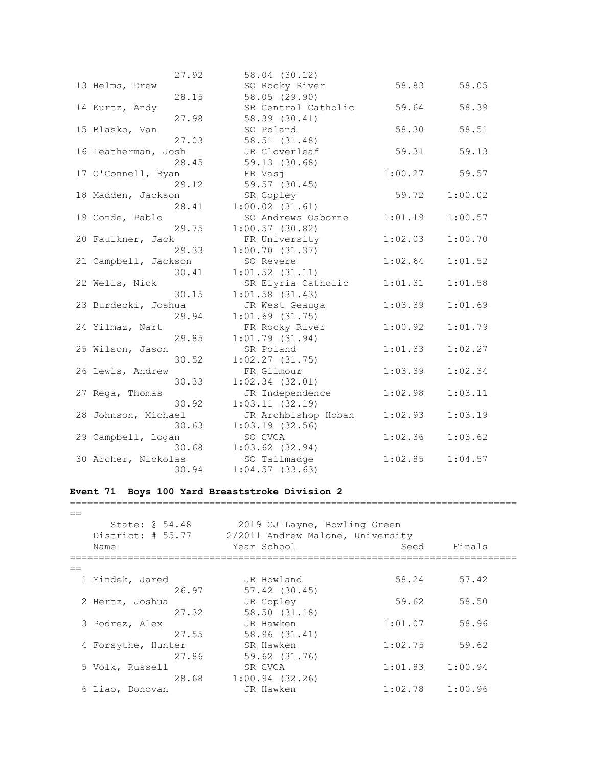| 27.92                | 58.04 (30.12)       |         |         |
|----------------------|---------------------|---------|---------|
| 13 Helms, Drew       | SO Rocky River      | 58.83   | 58.05   |
| 28.15                | 58.05 (29.90)       |         |         |
| 14 Kurtz, Andy       | SR Central Catholic | 59.64   | 58.39   |
| 27.98                | 58.39 (30.41)       |         |         |
| 15 Blasko, Van       | SO Poland           | 58.30   | 58.51   |
| 27.03                | 58.51 (31.48)       |         |         |
| 16 Leatherman, Josh  | JR Cloverleaf       | 59.31   | 59.13   |
| 28.45                | 59.13 (30.68)       |         |         |
| 17 O'Connell, Ryan   | FR Vasj             | 1:00.27 | 59.57   |
| 29.12                | 59.57 (30.45)       |         |         |
| 18 Madden, Jackson   | SR Copley           | 59.72   | 1:00.02 |
| 28.41                | $1:00.02$ $(31.61)$ |         |         |
| 19 Conde, Pablo      | SO Andrews Osborne  | 1:01.19 | 1:00.57 |
| 29.75                | $1:00.57$ (30.82)   |         |         |
| 20 Faulkner, Jack    | FR University       | 1:02.03 | 1:00.70 |
| 29.33                | 1:00.70(31.37)      |         |         |
| 21 Campbell, Jackson | SO Revere           | 1:02.64 | 1:01.52 |
| 30.41                | $1:01.52$ $(31.11)$ |         |         |
| 22 Wells, Nick       | SR Elyria Catholic  | 1:01.31 | 1:01.58 |
| 30.15                | $1:01.58$ (31.43)   |         |         |
| 23 Burdecki, Joshua  | JR West Geauga      | 1:03.39 | 1:01.69 |
| 29.94                | $1:01.69$ $(31.75)$ |         |         |
| 24 Yilmaz, Nart      | FR Rocky River      | 1:00.92 | 1:01.79 |
| 29.85                | $1:01.79$ (31.94)   |         |         |
| 25 Wilson, Jason     | SR Poland           | 1:01.33 | 1:02.27 |
| 30.52                | 1:02.27(31.75)      |         |         |
| 26 Lewis, Andrew     | FR Gilmour          | 1:03.39 | 1:02.34 |
| 30.33                | $1:02.34$ $(32.01)$ |         |         |
| 27 Rega, Thomas      | JR Independence     | 1:02.98 | 1:03.11 |
| 30.92                | 1:03.11(32.19)      |         |         |
| 28 Johnson, Michael  | JR Archbishop Hoban | 1:02.93 | 1:03.19 |
| 30.63                | $1:03.19$ (32.56)   |         |         |
| 29 Campbell, Logan   | SO CVCA             | 1:02.36 | 1:03.62 |
| 30.68                | $1:03.62$ $(32.94)$ |         |         |
| 30 Archer, Nickolas  | SO Tallmadge        | 1:02.85 | 1:04.57 |
| 30.94                | $1:04.57$ (33.63)   |         |         |

# **Event 71 Boys 100 Yard Breaststroke Division 2** =============================================================================

| State: 0 54.48<br>District: # 55.77 | 2019 CJ Layne, Bowling Green<br>2/2011 Andrew Malone, University |                     |         |  |
|-------------------------------------|------------------------------------------------------------------|---------------------|---------|--|
| Name                                | Year School                                                      | Seed                | Finals  |  |
|                                     |                                                                  |                     |         |  |
| 1 Mindek, Jared                     | JR Howland                                                       | 58.24               | 57.42   |  |
| 26.97                               | $57.42$ $(30.45)$                                                |                     |         |  |
| 2 Hertz, Joshua                     | JR Copley                                                        | 59.62               | 58.50   |  |
| 27.32                               | 58.50 (31.18)                                                    |                     |         |  |
| 3 Podrez, Alex                      | JR Hawken                                                        | 1:01.07             | 58.96   |  |
| 27.55                               | 58.96 (31.41)                                                    |                     |         |  |
| 4 Forsythe, Hunter                  | SR Hawken                                                        | 1:02.75             | 59.62   |  |
| 27.86                               | 59.62 (31.76)                                                    |                     |         |  |
| 5 Volk, Russell                     | SR CVCA                                                          | 1:01.83             | 1:00.94 |  |
| 28.68                               | $1:00.94$ (32.26)                                                |                     |         |  |
| 6 Liao, Donovan                     | JR Hawken                                                        | $1:02.78$ $1:00.96$ |         |  |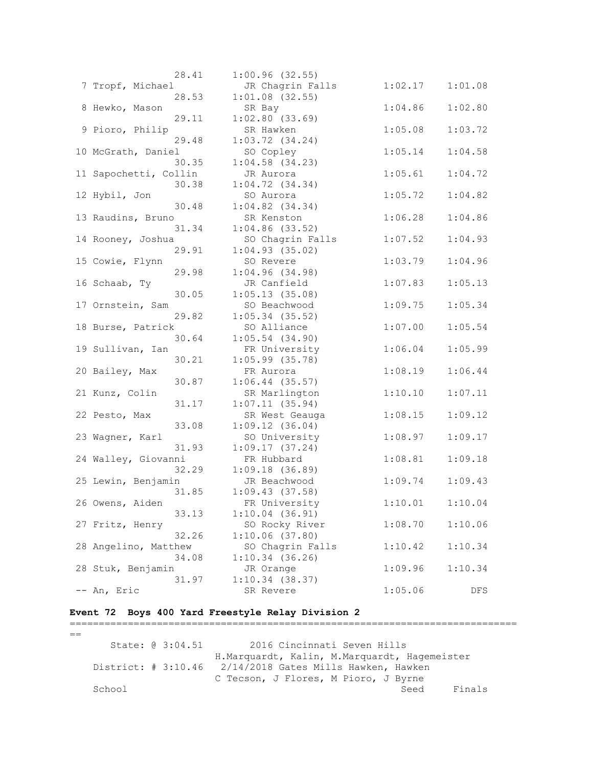|                       | 28.41 | 1:00.96(32.55)      |         |            |
|-----------------------|-------|---------------------|---------|------------|
| 7 Tropf, Michael      |       | JR Chagrin Falls    | 1:02.17 | 1:01.08    |
|                       | 28.53 | $1:01.08$ (32.55)   |         |            |
| 8 Hewko, Mason        |       | SR Bay              | 1:04.86 | 1:02.80    |
|                       | 29.11 | $1:02.80$ (33.69)   |         |            |
| 9 Pioro, Philip       |       | SR Hawken           | 1:05.08 | 1:03.72    |
|                       | 29.48 | $1:03.72$ $(34.24)$ |         |            |
| 10 McGrath, Daniel    |       | SO Copley           | 1:05.14 | 1:04.58    |
|                       | 30.35 | $1:04.58$ (34.23)   |         |            |
| 11 Sapochetti, Collin |       | JR Aurora           | 1:05.61 | 1:04.72    |
|                       | 30.38 | $1:04.72$ $(34.34)$ |         |            |
| 12 Hybil, Jon         |       | SO Aurora           | 1:05.72 | 1:04.82    |
|                       | 30.48 | $1:04.82$ $(34.34)$ |         |            |
|                       |       |                     |         |            |
| 13 Raudins, Bruno     |       | SR Kenston          | 1:06.28 | 1:04.86    |
|                       | 31.34 | $1:04.86$ (33.52)   |         |            |
| 14 Rooney, Joshua     |       | SO Chagrin Falls    | 1:07.52 | 1:04.93    |
|                       | 29.91 | $1:04.93$ (35.02)   |         |            |
| 15 Cowie, Flynn       |       | SO Revere           | 1:03.79 | 1:04.96    |
|                       | 29.98 | 1:04.96(34.98)      |         |            |
| 16 Schaab, Ty         |       | JR Canfield         | 1:07.83 | 1:05.13    |
|                       | 30.05 | 1:05.13(35.08)      |         |            |
| 17 Ornstein, Sam      |       | SO Beachwood        | 1:09.75 | 1:05.34    |
|                       | 29.82 | $1:05.34$ (35.52)   |         |            |
| 18 Burse, Patrick     |       | SO Alliance         | 1:07.00 | 1:05.54    |
|                       | 30.64 | $1:05.54$ $(34.90)$ |         |            |
| 19 Sullivan, Ian      |       | FR University       | 1:06.04 | 1:05.99    |
|                       | 30.21 | $1:05.99$ (35.78)   |         |            |
| 20 Bailey, Max        |       | FR Aurora           | 1:08.19 | 1:06.44    |
|                       | 30.87 | $1:06.44$ (35.57)   |         |            |
| 21 Kunz, Colin        |       | SR Marlington       | 1:10.10 | 1:07.11    |
|                       | 31.17 | 1:07.11(35.94)      |         |            |
| 22 Pesto, Max         |       | SR West Geauga      | 1:08.15 | 1:09.12    |
|                       | 33.08 | 1:09.12(36.04)      |         |            |
| 23 Wagner, Karl       |       | SO University       | 1:08.97 | 1:09.17    |
|                       | 31.93 | 1:09.17(37.24)      |         |            |
| 24 Walley, Giovanni   |       | FR Hubbard          | 1:08.81 | 1:09.18    |
|                       | 32.29 | 1:09.18(36.89)      |         |            |
| 25 Lewin, Benjamin    |       | JR Beachwood        | 1:09.74 | 1:09.43    |
|                       | 31.85 | 1:09.43(37.58)      |         |            |
| 26 Owens, Aiden       |       | FR University       | 1:10.01 | 1:10.04    |
|                       | 33.13 | 1:10.04(36.91)      |         |            |
| 27 Fritz, Henry       |       | SO Rocky River      | 1:08.70 | 1:10.06    |
|                       | 32.26 | 1:10.06(37.80)      |         |            |
| 28 Angelino, Matthew  |       | SO Chagrin Falls    | 1:10.42 | 1:10.34    |
|                       | 34.08 | $1:10.34$ (36.26)   |         |            |
| 28 Stuk, Benjamin     |       | JR Orange           | 1:09.96 | 1:10.34    |
|                       | 31.97 | $1:10.34$ (38.37)   |         |            |
| An, Eric              |       | SR Revere           | 1:05.06 | <b>DFS</b> |
|                       |       |                     |         |            |

# **Event 72 Boys 400 Yard Freestyle Relay Division 2**

### =============================================================================  $=$

State: @ 3:04.51 2016 Cincinnati Seven Hills H.Marquardt, Kalin, M.Marquardt, Hagemeister District: # 3:10.46 2/14/2018 Gates Mills Hawken, Hawken C Tecson, J Flores, M Pioro, J Byrne School Seed Finals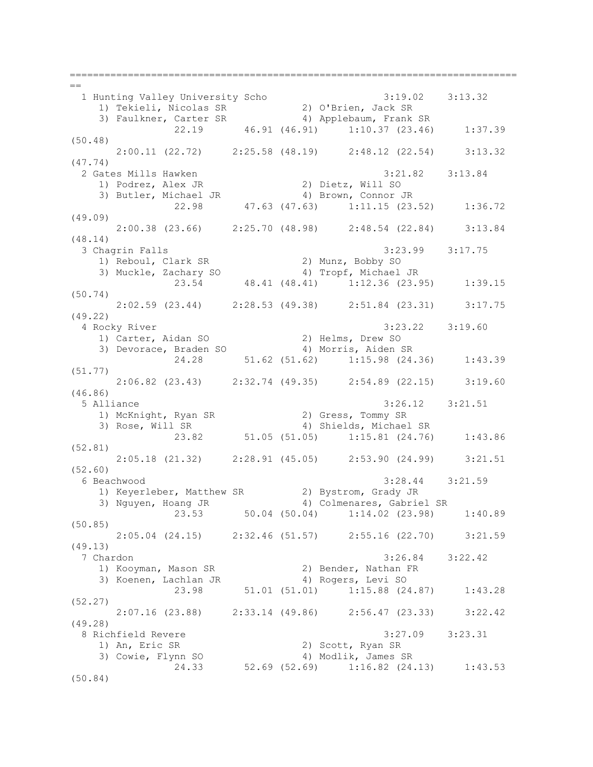=============================================================================  $=$  1 Hunting Valley University Scho 3:19.02 3:13.32 1) Tekieli, Nicolas SR 2) O'Brien, Jack SR 3) Faulkner, Carter SR 4) Applebaum, Frank SR 22.19 46.91 (46.91) 1:10.37 (23.46) 1:37.39 (50.48)  $2:00.11$  (22.72) 2:25.58 (48.19) 2:48.12 (22.54) 3:13.32 (47.74) 2 Gates Mills Hawken 3:21.82 3:13.84 1) Podrez, Alex JR 2) Dietz, Will SO 3) Butler, Michael JR 4) Brown, Connor JR 22.98 47.63 (47.63) 1:11.15 (23.52) 1:36.72 (49.09) 2:00.38 (23.66) 2:25.70 (48.98) 2:48.54 (22.84) 3:13.84 (48.14) 3 Chagrin Falls 3:23.99 3:17.75 1) Reboul, Clark SR 2) Munz, Bobby SO 3) Muckle, Zachary SO 4) Tropf, Michael JR 23.54 48.41 (48.41) 1:12.36 (23.95) 1:39.15 (50.74)  $2:02.59$  (23.44) 2:28.53 (49.38) 2:51.84 (23.31) 3:17.75 (49.22) 4 Rocky River 3:23.22 3:19.60 1) Carter, Aidan SO 2) Helms, Drew SO 3) Devorace, Braden SO 4) Morris, Aiden SR 24.28 51.62 (51.62) 1:15.98 (24.36) 1:43.39 (51.77) 2:06.82 (23.43) 2:32.74 (49.35) 2:54.89 (22.15) 3:19.60 (46.86) 5 Alliance 3:26.12 3:21.51 1) McKnight, Ryan SR 2) Gress, Tommy SR 3) Rose, Will SR 4) Shields, Michael SR 23.82 51.05 (51.05) 1:15.81 (24.76) 1:43.86 (52.81) 2:05.18 (21.32) 2:28.91 (45.05) 2:53.90 (24.99) 3:21.51 (52.60) 6 Beachwood 3:28.44 3:21.59 1) Keyerleber, Matthew SR 2) Bystrom, Grady JR<br>2) Neuven Heaps JR 2, Al Colmanasce Cabric 3) Nguyen, Hoang JR 4) Colmenares, Gabriel SR 23.53 50.04 (50.04) 1:14.02 (23.98) 1:40.89 (50.85) 2:05.04 (24.15) 2:32.46 (51.57) 2:55.16 (22.70) 3:21.59 (49.13) 7 Chardon 3:26.84 3:22.42 1) Kooyman, Mason SR 2) Bender, Nathan FR 3) Koenen, Lachlan JR 4) Rogers, Levi SO 23.98 51.01 (51.01) 1:15.88 (24.87) 1:43.28 (52.27) 2:07.16 (23.88) 2:33.14 (49.86) 2:56.47 (23.33) 3:22.42 (49.28) 8 Richfield Revere 3:27.09 3:23.31<br>1) An, Eric SR 2) Scott, Ryan SR<br>3) Cowie, Flynn SO 4) Modlik, James SR 1) An, Eric SR 2) Scott, Ryan SR 3) Cowie, Flynn SO 4) Modlik, James SR 24.33 52.69 (52.69) 1:16.82 (24.13) 1:43.53 (50.84)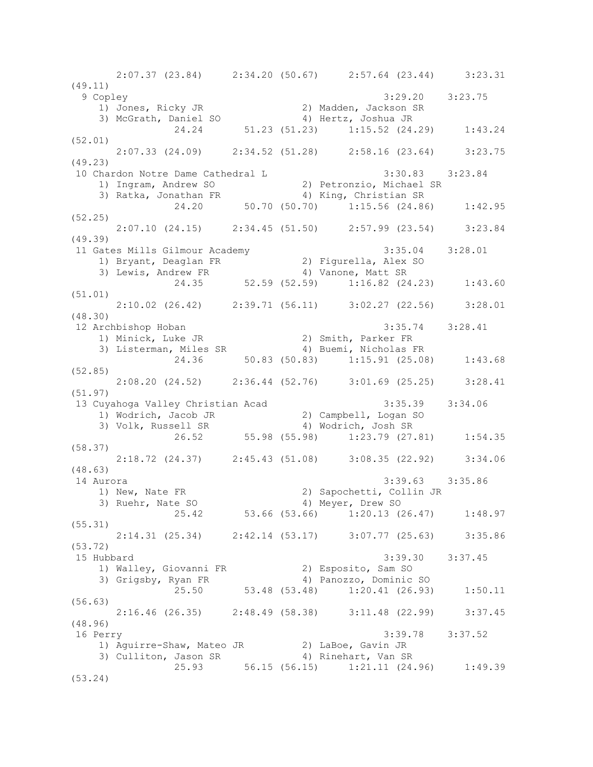2:07.37 (23.84) 2:34.20 (50.67) 2:57.64 (23.44) 3:23.31 (49.11) 9 Copley 3:29.20 3:23.75 1) Jones, Ricky JR 2) Madden, Jackson SR 3) McGrath, Daniel SO 4) Hertz, Joshua JR 24.24 51.23 (51.23) 1:15.52 (24.29) 1:43.24 (52.01) 2:07.33 (24.09) 2:34.52 (51.28) 2:58.16 (23.64) 3:23.75 (49.23) 10 Chardon Notre Dame Cathedral L 3:30.83 3:23.84 1) Ingram, Andrew SO 2) Petronzio, Michael SR 3) Ratka, Jonathan FR 4) King, Christian SR 24.20 50.70 (50.70) 1:15.56 (24.86) 1:42.95 (52.25) 2:07.10 (24.15) 2:34.45 (51.50) 2:57.99 (23.54) 3:23.84 (49.39) 11 Gates Mills Gilmour Academy 3:35.04 3:28.01 1) Bryant, Deaglan FR 2) Figurella, Alex SO 3) Lewis, Andrew FR 4) Vanone, Matt SR 24.35 52.59 (52.59) 1:16.82 (24.23) 1:43.60 (51.01)  $2:10.02$  (26.42)  $2:39.71$  (56.11)  $3:02.27$  (22.56)  $3:28.01$ (48.30) 12 Archbishop Hoban 3:35.74 3:28.41 1) Minick, Luke JR 2) Smith, Parker FR 3) Listerman, Miles SR 4) Buemi, Nicholas FR  $24.36$  50.83 (50.83) 1:15.91 (25.08) 1:43.68 (52.85) 2:08.20 (24.52) 2:36.44 (52.76) 3:01.69 (25.25) 3:28.41 (51.97) 13 Cuyahoga Valley Christian Acad 3:35.39 3:34.06 1) Wodrich, Jacob JR 2) Campbell, Logan SO 3) Volk, Russell SR 4) Wodrich, Josh SR 26.52 55.98 (55.98) 1:23.79 (27.81) 1:54.35 (58.37) 2:18.72 (24.37) 2:45.43 (51.08) 3:08.35 (22.92) 3:34.06 (48.63) 14 Aurora 3:39.63 3:35.86 1) New, Nate FR 2) Sapochetti, Collin JR 3) Ruehr, Nate SO 4) Meyer, Drew SO 25.42 53.66 (53.66) 1:20.13 (26.47) 1:48.97 (55.31) 2:14.31 (25.34) 2:42.14 (53.17) 3:07.77 (25.63) 3:35.86 (53.72) 15 Hubbard 3:39.30 3:37.45 1) Walley, Giovanni FR 2) Esposito, Sam SO 3) Grigsby, Ryan FR 4) Panozzo, Dominic SO 25.50 53.48 (53.48) 1:20.41 (26.93) 1:50.11 (56.63) 2:16.46 (26.35) 2:48.49 (58.38) 3:11.48 (22.99) 3:37.45 (48.96) 16 Perry 3:39.78 3:37.52 1) Aguirre-Shaw, Mateo JR 32) LaBoe, Gavin JR 3) Culliton, Jason SR 4) Rinehart, Van SR  $25.93$   $56.15$   $(56.15)$   $1:21.11$   $(24.96)$   $1:49.39$ (53.24)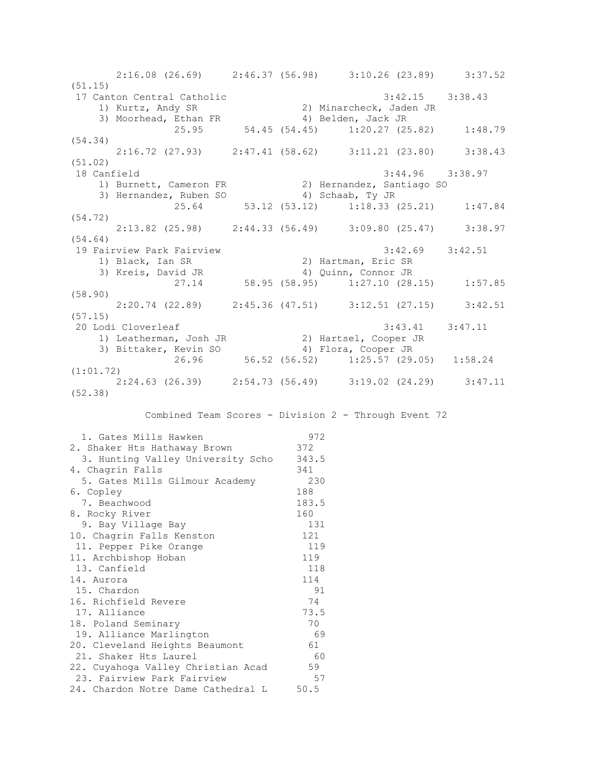2:16.08 (26.69) 2:46.37 (56.98) 3:10.26 (23.89) 3:37.52 (51.15) 17 Canton Central Catholic 3:42.15 3:38.43 1) Kurtz, Andy SR 2) Minarcheck, Jaden JR<br>3) Moorhead, Ethan FR 3) Belden, Jack JR 3) Moorhead, Ethan FR 4) Belden, Jack JR 25.95 54.45 (54.45) 1:20.27 (25.82) 1:48.79 (54.34) 2:16.72 (27.93) 2:47.41 (58.62) 3:11.21 (23.80) 3:38.43 (51.02) 18 Canfield 3:44.96 3:38.97 1) Burnett, Cameron FR 2) Hernandez, Santiago SO 3) Hernandez, Ruben SO 4) Schaab, Ty JR 25.64 53.12 (53.12) 1:18.33 (25.21) 1:47.84 (54.72) 2:13.82 (25.98) 2:44.33 (56.49) 3:09.80 (25.47) 3:38.97 (54.64) 19 Fairview Park Fairview 3:42.69 3:42.51 1) Black, Ian SR 2) Hartman, Eric SR 3) Kreis, David JR 4) Quinn, Connor JR 27.14 58.95 (58.95) 1:27.10 (28.15) 1:57.85 (58.90) 2:20.74 (22.89) 2:45.36 (47.51) 3:12.51 (27.15) 3:42.51 (57.15) 20 Lodi Cloverleaf 3:43.41 3:47.11 1) Leatherman, Josh JR 2) Hartsel, Cooper JR 3) Bittaker, Kevin SO 4) Flora, Cooper JR 26.96 56.52 (56.52) 1:25.57 (29.05) 1:58.24 (1:01.72) 2:24.63 (26.39) 2:54.73 (56.49) 3:19.02 (24.29) 3:47.11 (52.38) Combined Team Scores - Division 2 - Through Event 72 1. Gates Mills Hawken 972 2. Shaker Hts Hathaway Brown 372 3. Hunting Valley University Scho 343.5

| 4. Chagrin Falls                   | 341   |
|------------------------------------|-------|
| 5. Gates Mills Gilmour Academy     | 230   |
| 6. Copley                          | 188   |
| 7. Beachwood                       | 183.5 |
| 8. Rocky River                     | 160   |
| 9. Bay Village Bay                 | 131   |
| 10. Chagrin Falls Kenston          | 121   |
| 11. Pepper Pike Orange             | 119   |
| 11. Archbishop Hoban               | 119   |
| 13. Canfield                       | 118   |
| 14. Aurora                         | 114   |
| 15. Chardon                        | 91    |
| 16. Richfield Revere               | 74    |
| 17. Alliance                       | 73.5  |
| 18. Poland Seminary                | 70    |
| 19. Alliance Marlington            | 69    |
| 20. Cleveland Heights Beaumont     | 61    |
| 21. Shaker Hts Laurel              | -60   |
| 22. Cuyahoga Valley Christian Acad | 59    |
| 23. Fairview Park Fairview         | 57    |
| 24. Chardon Notre Dame Cathedral L | 50.5  |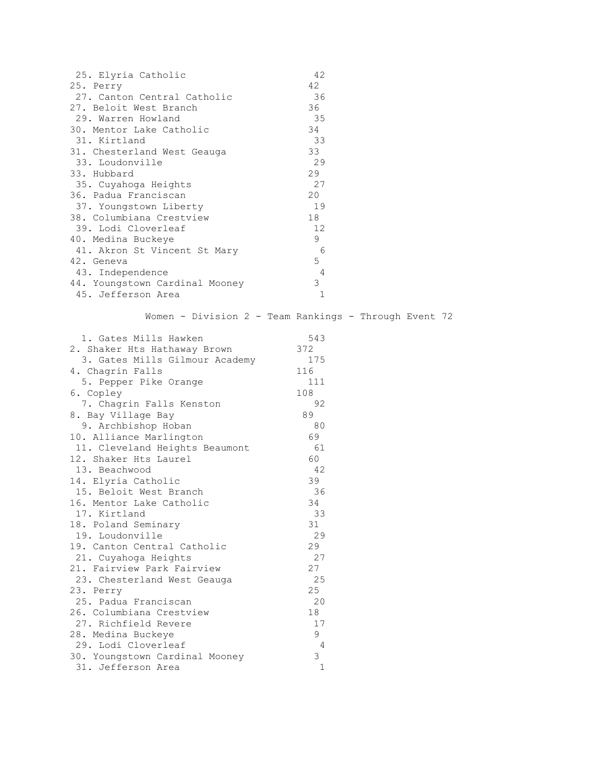| 25. Elyria Catholic            | 42 |  |
|--------------------------------|----|--|
| 25. Perry                      | 42 |  |
| 27. Canton Central Catholic    | 36 |  |
| 27. Beloit West Branch         | 36 |  |
| 29. Warren Howland             | 35 |  |
| 30. Mentor Lake Catholic       | 34 |  |
| 31. Kirtland                   | 33 |  |
| 31. Chesterland West Geauga    | 33 |  |
| 33. Loudonville                | 29 |  |
| 33. Hubbard                    | 29 |  |
| 35. Cuyahoga Heights           | 27 |  |
| 36. Padua Franciscan           | 20 |  |
| 37. Youngstown Liberty         | 19 |  |
| 38. Columbiana Crestview       | 18 |  |
| 39. Lodi Cloverleaf            | 12 |  |
| 40. Medina Buckeye             | 9  |  |
| 41. Akron St Vincent St Mary   | 6  |  |
| 42. Geneva                     | 5  |  |
| 43. Independence               | 4  |  |
| 44. Youngstown Cardinal Mooney | 3  |  |
| 45. Jefferson Area             | 1  |  |

Women - Division 2 - Team Rankings - Through Event 72

| 1. Gates Mills Hawken          | 543          |
|--------------------------------|--------------|
| 2. Shaker Hts Hathaway Brown   | 372          |
| 3. Gates Mills Gilmour Academy | 175          |
| 4. Chagrin Falls               | 116          |
| 5. Pepper Pike Orange          | 111          |
| 6. Copley                      | 108          |
| 7. Chagrin Falls Kenston       | 92           |
| 8. Bay Village Bay             | 89           |
| 9. Archbishop Hoban            | 80           |
| 10. Alliance Marlington        | 69           |
| 11. Cleveland Heights Beaumont | 61           |
| 12. Shaker Hts Laurel          | 60           |
| 13. Beachwood                  | 42           |
| 14. Elyria Catholic            | 39           |
| 15. Beloit West Branch         | 36           |
| 16. Mentor Lake Catholic       | 34           |
| 17. Kirtland                   | 33           |
| 18. Poland Seminary            | 31           |
| 19. Loudonville                | 29           |
| 19. Canton Central Catholic    | 29           |
| 21. Cuyahoga Heights           | 27           |
| 21. Fairview Park Fairview     | 27           |
| 23. Chesterland West Geauga    | 25           |
| 23. Perry                      | 25           |
| 25. Padua Franciscan           | - 20         |
| 26. Columbiana Crestview       | 18           |
| 27. Richfield Revere           | 17           |
| 28. Medina Buckeye             | 9            |
| 29. Lodi Cloverleaf            | 4            |
| 30. Youngstown Cardinal Mooney | 3            |
| 31. Jefferson Area             | $\mathbf{1}$ |